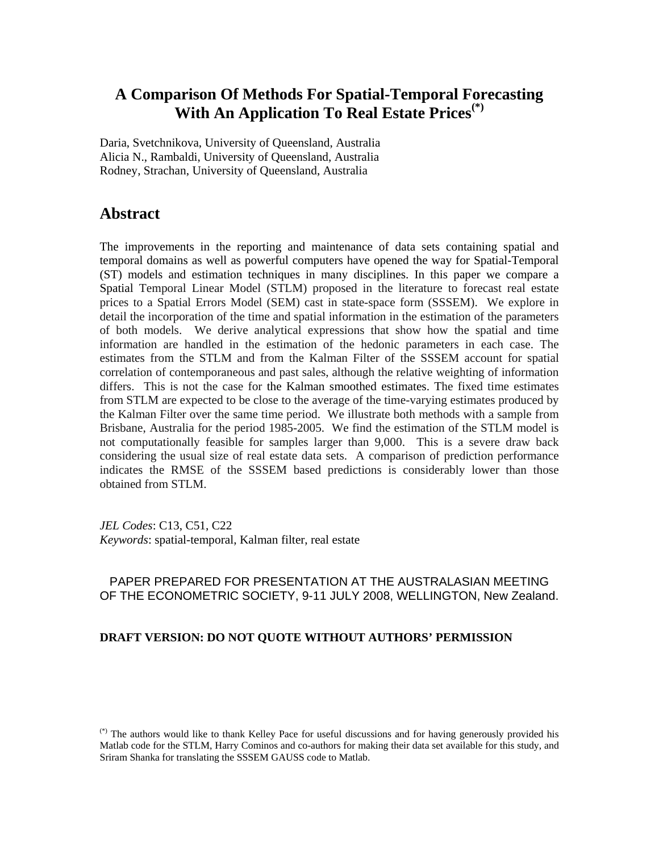# **A Comparison Of Methods For Spatial-Temporal Forecasting With An Application To Real Estate Prices(\*)**

Daria, Svetchnikova, University of Queensland, Australia Alicia N., Rambaldi, University of Queensland, Australia Rodney, Strachan, University of Queensland, Australia

# **Abstract**

The improvements in the reporting and maintenance of data sets containing spatial and temporal domains as well as powerful computers have opened the way for Spatial-Temporal (ST) models and estimation techniques in many disciplines. In this paper we compare a Spatial Temporal Linear Model (STLM) proposed in the literature to forecast real estate prices to a Spatial Errors Model (SEM) cast in state-space form (SSSEM). We explore in detail the incorporation of the time and spatial information in the estimation of the parameters of both models. We derive analytical expressions that show how the spatial and time information are handled in the estimation of the hedonic parameters in each case. The estimates from the STLM and from the Kalman Filter of the SSSEM account for spatial correlation of contemporaneous and past sales, although the relative weighting of information differs. This is not the case for the Kalman smoothed estimates. The fixed time estimates from STLM are expected to be close to the average of the time-varying estimates produced by the Kalman Filter over the same time period. We illustrate both methods with a sample from Brisbane, Australia for the period 1985-2005. We find the estimation of the STLM model is not computationally feasible for samples larger than 9,000. This is a severe draw back considering the usual size of real estate data sets. A comparison of prediction performance indicates the RMSE of the SSSEM based predictions is considerably lower than those obtained from STLM.

*JEL Codes*: C13, C51, C22 *Keywords*: spatial-temporal, Kalman filter, real estate

# PAPER PREPARED FOR PRESENTATION AT THE AUSTRALASIAN MEETING OF THE ECONOMETRIC SOCIETY, 9-11 JULY 2008, WELLINGTON, New Zealand.

### **DRAFT VERSION: DO NOT QUOTE WITHOUT AUTHORS' PERMISSION**

<sup>(\*)</sup> The authors would like to thank Kelley Pace for useful discussions and for having generously provided his Matlab code for the STLM, Harry Cominos and co-authors for making their data set available for this study, and Sriram Shanka for translating the SSSEM GAUSS code to Matlab.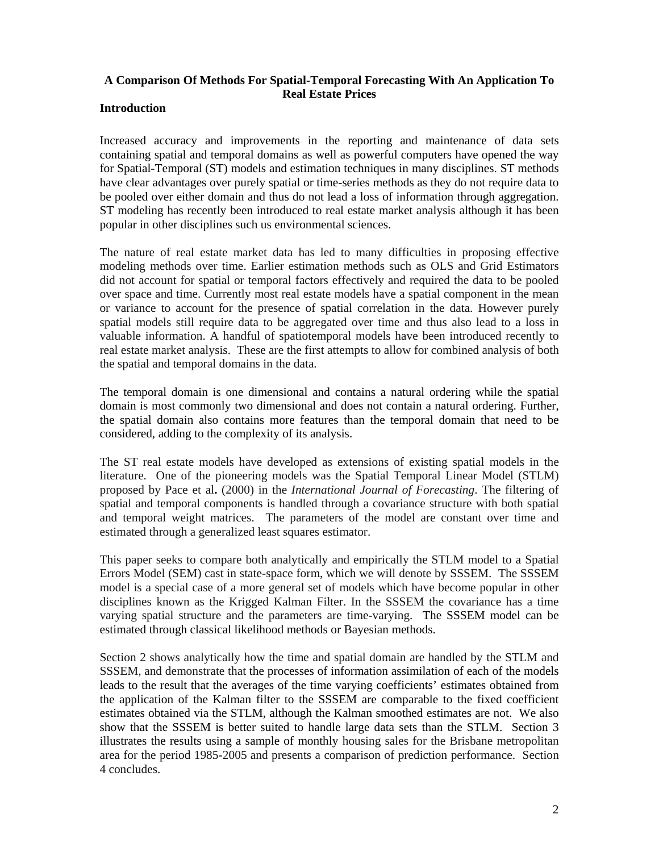# **A Comparison Of Methods For Spatial-Temporal Forecasting With An Application To Real Estate Prices**

# **Introduction**

Increased accuracy and improvements in the reporting and maintenance of data sets containing spatial and temporal domains as well as powerful computers have opened the way for Spatial-Temporal (ST) models and estimation techniques in many disciplines. ST methods have clear advantages over purely spatial or time-series methods as they do not require data to be pooled over either domain and thus do not lead a loss of information through aggregation. ST modeling has recently been introduced to real estate market analysis although it has been popular in other disciplines such us environmental sciences.

The nature of real estate market data has led to many difficulties in proposing effective modeling methods over time. Earlier estimation methods such as OLS and Grid Estimators did not account for spatial or temporal factors effectively and required the data to be pooled over space and time. Currently most real estate models have a spatial component in the mean or variance to account for the presence of spatial correlation in the data. However purely spatial models still require data to be aggregated over time and thus also lead to a loss in valuable information. A handful of spatiotemporal models have been introduced recently to real estate market analysis. These are the first attempts to allow for combined analysis of both the spatial and temporal domains in the data.

The temporal domain is one dimensional and contains a natural ordering while the spatial domain is most commonly two dimensional and does not contain a natural ordering. Further, the spatial domain also contains more features than the temporal domain that need to be considered, adding to the complexity of its analysis.

The ST real estate models have developed as extensions of existing spatial models in the literature. One of the pioneering models was the Spatial Temporal Linear Model (STLM) proposed by Pace et al**.** (2000) in the *International Journal of Forecasting*. The filtering of spatial and temporal components is handled through a covariance structure with both spatial and temporal weight matrices. The parameters of the model are constant over time and estimated through a generalized least squares estimator.

This paper seeks to compare both analytically and empirically the STLM model to a Spatial Errors Model (SEM) cast in state-space form, which we will denote by SSSEM. The SSSEM model is a special case of a more general set of models which have become popular in other disciplines known as the Krigged Kalman Filter. In the SSSEM the covariance has a time varying spatial structure and the parameters are time-varying. The SSSEM model can be estimated through classical likelihood methods or Bayesian methods.

Section 2 shows analytically how the time and spatial domain are handled by the STLM and SSSEM, and demonstrate that the processes of information assimilation of each of the models leads to the result that the averages of the time varying coefficients' estimates obtained from the application of the Kalman filter to the SSSEM are comparable to the fixed coefficient estimates obtained via the STLM, although the Kalman smoothed estimates are not. We also show that the SSSEM is better suited to handle large data sets than the STLM. Section 3 illustrates the results using a sample of monthly housing sales for the Brisbane metropolitan area for the period 1985-2005 and presents a comparison of prediction performance. Section 4 concludes.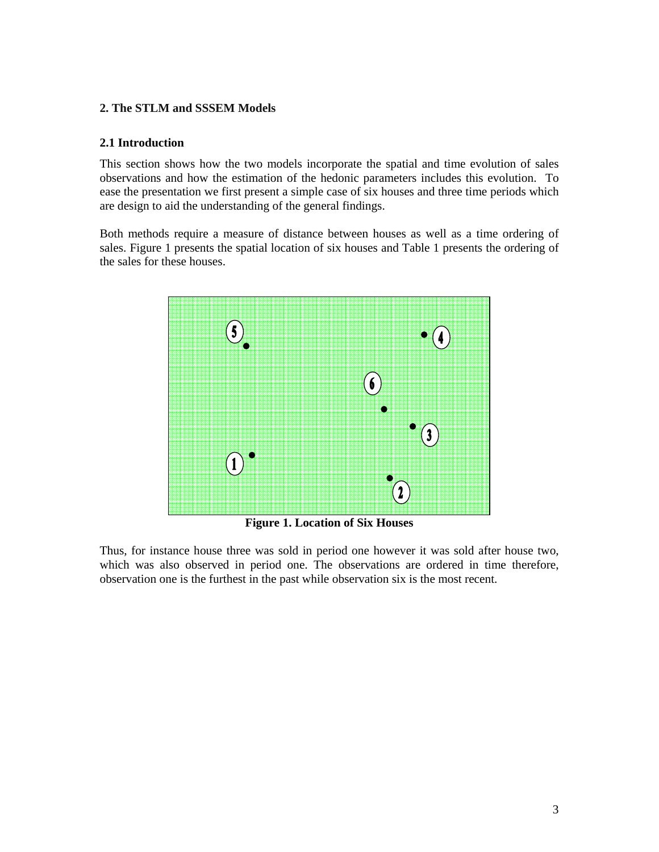### **2. The STLM and SSSEM Models**

### **2.1 Introduction**

This section shows how the two models incorporate the spatial and time evolution of sales observations and how the estimation of the hedonic parameters includes this evolution. To ease the presentation we first present a simple case of six houses and three time periods which are design to aid the understanding of the general findings.

Both methods require a measure of distance between houses as well as a time ordering of sales. Figure 1 presents the spatial location of six houses and Table 1 presents the ordering of the sales for these houses.



**Figure 1. Location of Six Houses** 

Thus, for instance house three was sold in period one however it was sold after house two, which was also observed in period one. The observations are ordered in time therefore, observation one is the furthest in the past while observation six is the most recent.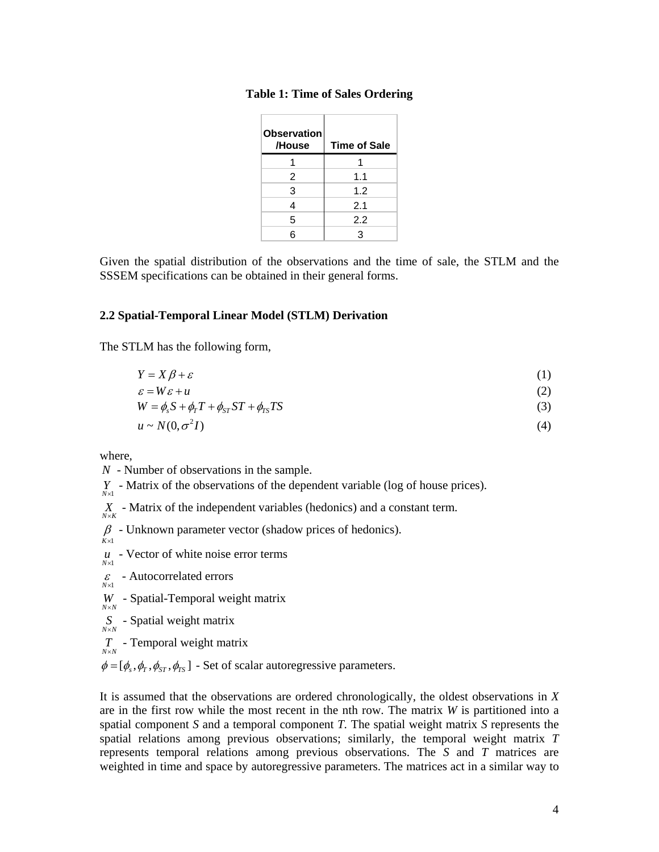| <b>Observation</b><br>/House | <b>Time of Sale</b> |
|------------------------------|---------------------|
|                              |                     |
| 2                            | 1.1                 |
| 3                            | 1.2                 |
| 4                            | 2.1                 |
| 5                            | 2.2                 |
| 6                            | з                   |

### **Table 1: Time of Sales Ordering**

Given the spatial distribution of the observations and the time of sale, the STLM and the SSSEM specifications can be obtained in their general forms.

#### **2.2 Spatial-Temporal Linear Model (STLM) Derivation**

The STLM has the following form,

$$
Y = X\beta + \varepsilon
$$
  
\n
$$
\varepsilon = W\varepsilon + u
$$
  
\n
$$
W = \phi_s S + \phi_r T + \phi_{sr} ST + \phi_{rs} TS
$$
  
\n
$$
u \sim N(0, \sigma^2 I)
$$
\n(4)

where,

*N -* Number of observations in the sample.

 $Y_{N \times 1}$  - Matrix of the observations of the dependent variable (log of house prices).

 $X_{N \times K}$  - Matrix of the independent variables (hedonics) and a constant term.

 $\beta$  - Unknown parameter vector (shadow prices of hedonics).

 $\mathbf{u}_{N \times 1}$  - Vector of white noise error terms

 $\mathcal{E}_{N\times 1}$  - Autocorrelated errors

*W* - Spatial-Temporal weight matrix

 $S_{N \times N}$  - Spatial weight matrix

 $T_{N \times N}$  - Temporal weight matrix

 $\phi = [\phi_{\rm s}, \phi_{\rm r}, \phi_{\rm cr}, \phi_{\rm rs}]$  - Set of scalar autoregressive parameters.

It is assumed that the observations are ordered chronologically, the oldest observations in *X* are in the first row while the most recent in the nth row. The matrix *W* is partitioned into a spatial component *S* and a temporal component *T.* The spatial weight matrix *S* represents the spatial relations among previous observations; similarly, the temporal weight matrix *T* represents temporal relations among previous observations. The *S* and *T* matrices are weighted in time and space by autoregressive parameters. The matrices act in a similar way to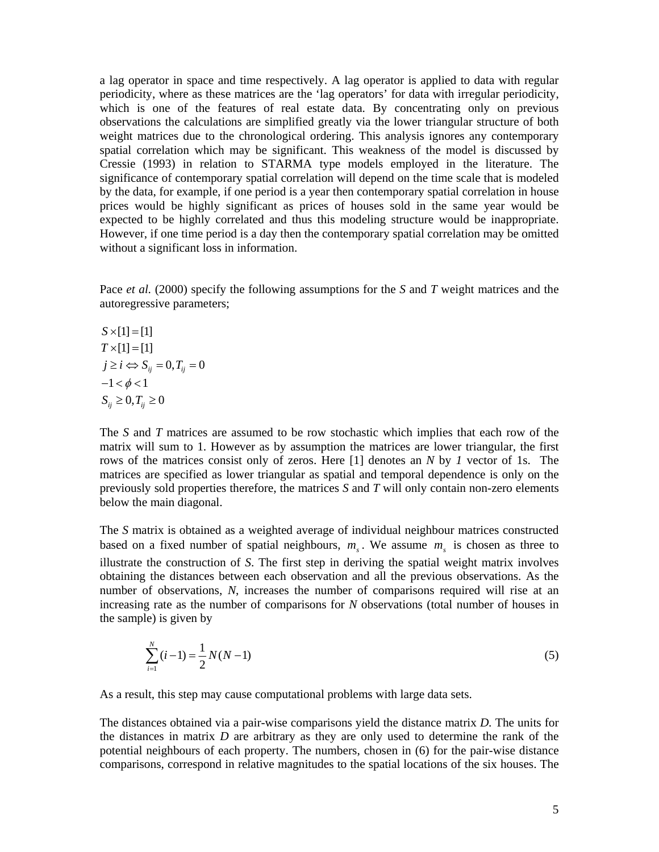a lag operator in space and time respectively. A lag operator is applied to data with regular periodicity, where as these matrices are the 'lag operators' for data with irregular periodicity, which is one of the features of real estate data. By concentrating only on previous observations the calculations are simplified greatly via the lower triangular structure of both weight matrices due to the chronological ordering. This analysis ignores any contemporary spatial correlation which may be significant. This weakness of the model is discussed by Cressie (1993) in relation to STARMA type models employed in the literature. The significance of contemporary spatial correlation will depend on the time scale that is modeled by the data, for example, if one period is a year then contemporary spatial correlation in house prices would be highly significant as prices of houses sold in the same year would be expected to be highly correlated and thus this modeling structure would be inappropriate. However, if one time period is a day then the contemporary spatial correlation may be omitted without a significant loss in information.

Pace *et al.* (2000) specify the following assumptions for the *S* and *T* weight matrices and the autoregressive parameters;

 $S \times [1] = [1]$  $T \times [1] = [1]$  $j \ge i \Leftrightarrow S_{ij} = 0, T_{ij} = 0$  $-1 < \phi < 1$  $S_{ii} \ge 0, T_{ii} \ge 0$ 

The *S* and *T* matrices are assumed to be row stochastic which implies that each row of the matrix will sum to 1. However as by assumption the matrices are lower triangular, the first rows of the matrices consist only of zeros. Here [1] denotes an *N* by *1* vector of 1s. The matrices are specified as lower triangular as spatial and temporal dependence is only on the previously sold properties therefore, the matrices *S* and *T* will only contain non-zero elements below the main diagonal.

The *S* matrix is obtained as a weighted average of individual neighbour matrices constructed based on a fixed number of spatial neighbours,  $m<sub>s</sub>$ . We assume  $m<sub>s</sub>$  is chosen as three to illustrate the construction of *S*. The first step in deriving the spatial weight matrix involves obtaining the distances between each observation and all the previous observations. As the number of observations, *N*, increases the number of comparisons required will rise at an increasing rate as the number of comparisons for *N* observations (total number of houses in the sample) is given by

$$
\sum_{i=1}^{N} (i-1) = \frac{1}{2} N(N-1)
$$
\n(5)

As a result, this step may cause computational problems with large data sets.

The distances obtained via a pair-wise comparisons yield the distance matrix *D.* The units for the distances in matrix *D* are arbitrary as they are only used to determine the rank of the potential neighbours of each property. The numbers, chosen in (6) for the pair-wise distance comparisons, correspond in relative magnitudes to the spatial locations of the six houses. The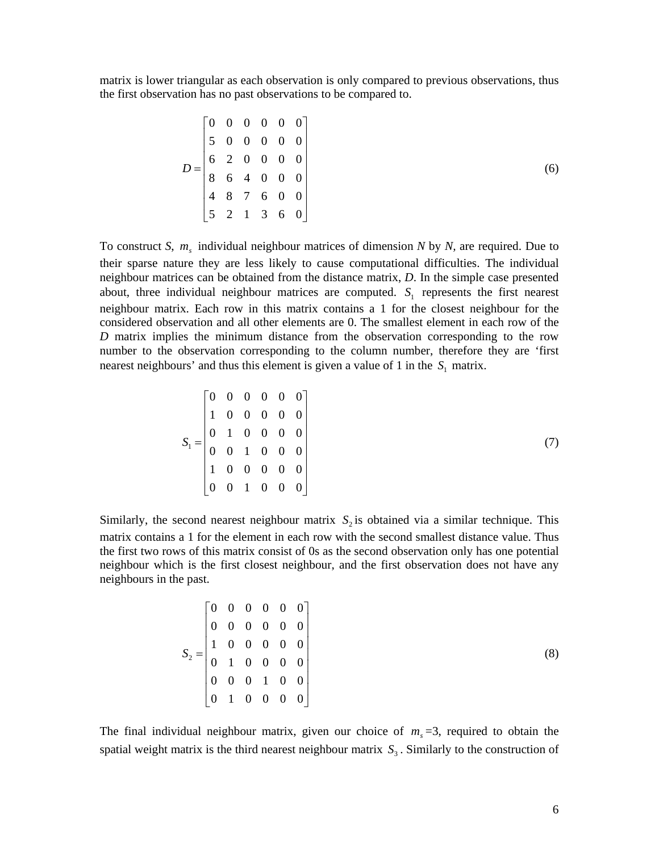matrix is lower triangular as each observation is only compared to previous observations, thus the first observation has no past observations to be compared to.

$$
D = \begin{bmatrix} 0 & 0 & 0 & 0 & 0 & 0 \\ 5 & 0 & 0 & 0 & 0 & 0 \\ 6 & 2 & 0 & 0 & 0 & 0 \\ 8 & 6 & 4 & 0 & 0 & 0 \\ 4 & 8 & 7 & 6 & 0 & 0 \\ 5 & 2 & 1 & 3 & 6 & 0 \end{bmatrix}
$$
(6)

To construct *S*, *ms* individual neighbour matrices of dimension *N* by *N,* are required. Due to their sparse nature they are less likely to cause computational difficulties. The individual neighbour matrices can be obtained from the distance matrix, *D*. In the simple case presented about, three individual neighbour matrices are computed.  $S<sub>1</sub>$  represents the first nearest neighbour matrix. Each row in this matrix contains a 1 for the closest neighbour for the considered observation and all other elements are 0. The smallest element in each row of the *D* matrix implies the minimum distance from the observation corresponding to the row number to the observation corresponding to the column number, therefore they are 'first nearest neighbours' and thus this element is given a value of 1 in the  $S_1$  matrix.

$$
S_{1} = \begin{bmatrix} 0 & 0 & 0 & 0 & 0 & 0 \\ 1 & 0 & 0 & 0 & 0 & 0 \\ 0 & 1 & 0 & 0 & 0 & 0 \\ 0 & 0 & 1 & 0 & 0 & 0 \\ 1 & 0 & 0 & 0 & 0 & 0 \\ 0 & 0 & 1 & 0 & 0 & 0 \end{bmatrix}
$$
(7)

Similarly, the second nearest neighbour matrix  $S_2$  is obtained via a similar technique. This matrix contains a 1 for the element in each row with the second smallest distance value. Thus the first two rows of this matrix consist of 0s as the second observation only has one potential neighbour which is the first closest neighbour, and the first observation does not have any neighbours in the past.

$$
S_2 = \begin{bmatrix} 0 & 0 & 0 & 0 & 0 & 0 \\ 0 & 0 & 0 & 0 & 0 & 0 \\ 1 & 0 & 0 & 0 & 0 & 0 \\ 0 & 1 & 0 & 0 & 0 & 0 \\ 0 & 0 & 0 & 1 & 0 & 0 \\ 0 & 1 & 0 & 0 & 0 & 0 \end{bmatrix}
$$
 (8)

The final individual neighbour matrix, given our choice of  $m<sub>s</sub> = 3$ , required to obtain the spatial weight matrix is the third nearest neighbour matrix  $S_3$ . Similarly to the construction of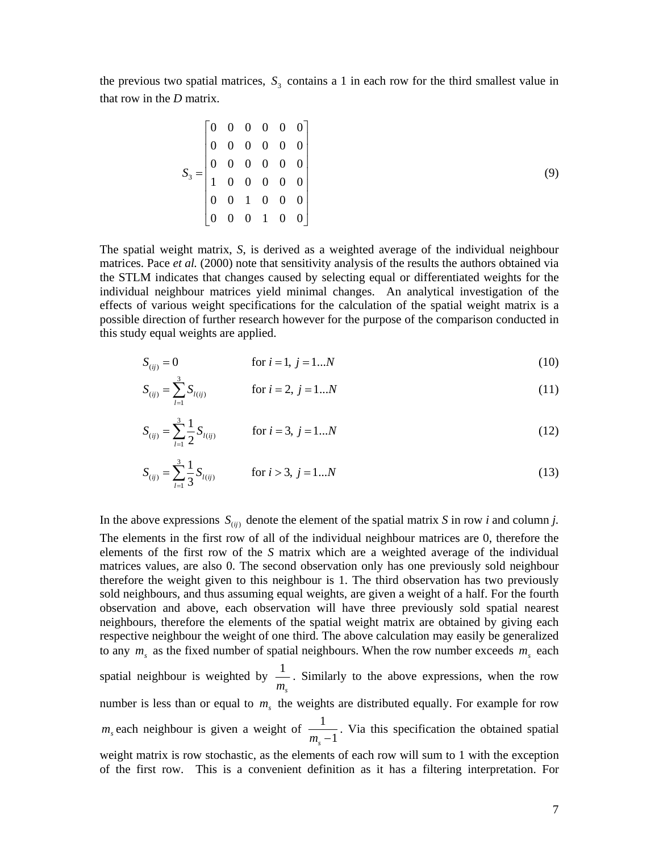the previous two spatial matrices,  $S_3$  contains a 1 in each row for the third smallest value in that row in the *D* matrix.

$$
S_{3} = \begin{bmatrix} 0 & 0 & 0 & 0 & 0 & 0 \\ 0 & 0 & 0 & 0 & 0 & 0 \\ 0 & 0 & 0 & 0 & 0 & 0 \\ 1 & 0 & 0 & 0 & 0 & 0 \\ 0 & 0 & 1 & 0 & 0 & 0 \\ 0 & 0 & 0 & 1 & 0 & 0 \end{bmatrix}
$$
(9)

The spatial weight matrix, *S*, is derived as a weighted average of the individual neighbour matrices. Pace *et al.* (2000) note that sensitivity analysis of the results the authors obtained via the STLM indicates that changes caused by selecting equal or differentiated weights for the individual neighbour matrices yield minimal changes. An analytical investigation of the effects of various weight specifications for the calculation of the spatial weight matrix is a possible direction of further research however for the purpose of the comparison conducted in this study equal weights are applied.

$$
S_{(ii)} = 0 \tfor i = 1, j = 1...N \t(10)
$$

$$
S_{(ij)} = \sum_{l=1}^{3} S_{l(ij)} \qquad \text{for } i = 2, j = 1...N \qquad (11)
$$

$$
S_{(ij)} = \sum_{l=1}^{3} \frac{1}{2} S_{l(ij)} \qquad \text{for } i = 3, j = 1...N \qquad (12)
$$

$$
S_{(ij)} = \sum_{l=1}^{3} \frac{1}{3} S_{l(ij)} \qquad \text{for } i > 3, j = 1...N \tag{13}
$$

In the above expressions  $S_{(ii)}$  denote the element of the spatial matrix *S* in row *i* and column *j*.

The elements in the first row of all of the individual neighbour matrices are 0, therefore the elements of the first row of the *S* matrix which are a weighted average of the individual matrices values, are also 0. The second observation only has one previously sold neighbour therefore the weight given to this neighbour is 1. The third observation has two previously sold neighbours, and thus assuming equal weights, are given a weight of a half. For the fourth observation and above, each observation will have three previously sold spatial nearest neighbours, therefore the elements of the spatial weight matrix are obtained by giving each respective neighbour the weight of one third. The above calculation may easily be generalized to any  $m_s$  as the fixed number of spatial neighbours. When the row number exceeds  $m_s$  each spatial neighbour is weighted by  $\frac{1}{1}$ *ms* . Similarly to the above expressions, when the row number is less than or equal to  $m<sub>s</sub>$  the weights are distributed equally. For example for row  $m_s$  each neighbour is given a weight of  $\frac{1}{m_s - 1}$ . Via this specification the obtained spatial

weight matrix is row stochastic, as the elements of each row will sum to 1 with the exception of the first row. This is a convenient definition as it has a filtering interpretation. For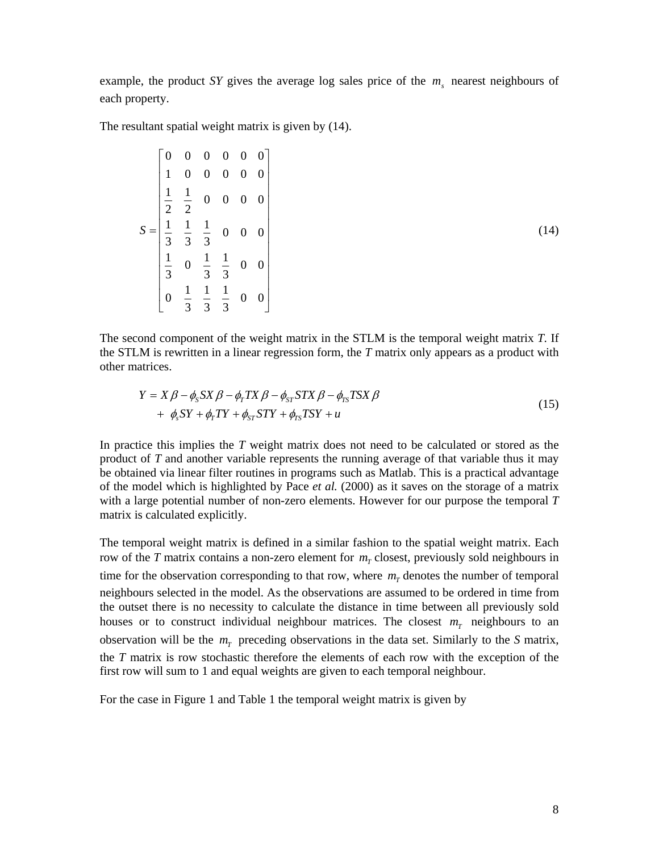example, the product *SY* gives the average log sales price of the  $m_s$  nearest neighbours of each property.

The resultant spatial weight matrix is given by (14).

$$
S = \begin{bmatrix} 0 & 0 & 0 & 0 & 0 & 0 \\ 1 & 0 & 0 & 0 & 0 & 0 \\ \frac{1}{2} & \frac{1}{2} & 0 & 0 & 0 & 0 \\ \frac{1}{3} & \frac{1}{3} & \frac{1}{3} & 0 & 0 & 0 \\ \frac{1}{3} & 0 & \frac{1}{3} & \frac{1}{3} & 0 & 0 \\ 0 & \frac{1}{3} & \frac{1}{3} & \frac{1}{3} & 0 & 0 \end{bmatrix}
$$
(14)

The second component of the weight matrix in the STLM is the temporal weight matrix *T.* If the STLM is rewritten in a linear regression form, the *T* matrix only appears as a product with other matrices.

$$
Y = X\beta - \phi_{S}SX\beta - \phi_{T}TX\beta - \phi_{ST}STX\beta - \phi_{TS}TSX\beta
$$
  
+  $\phi_{S}SY + \phi_{T}TY + \phi_{ST}STY + \phi_{TS}TSY + u$  (15)

In practice this implies the *T* weight matrix does not need to be calculated or stored as the product of *T* and another variable represents the running average of that variable thus it may be obtained via linear filter routines in programs such as Matlab. This is a practical advantage of the model which is highlighted by Pace *et al.* (2000) as it saves on the storage of a matrix with a large potential number of non-zero elements. However for our purpose the temporal *T*  matrix is calculated explicitly.

The temporal weight matrix is defined in a similar fashion to the spatial weight matrix. Each row of the *T* matrix contains a non-zero element for  $m<sub>T</sub>$  closest, previously sold neighbours in time for the observation corresponding to that row, where  $m<sub>r</sub>$  denotes the number of temporal neighbours selected in the model. As the observations are assumed to be ordered in time from the outset there is no necessity to calculate the distance in time between all previously sold houses or to construct individual neighbour matrices. The closest  $m<sub>r</sub>$  neighbours to an observation will be the  $m<sub>r</sub>$  preceding observations in the data set. Similarly to the *S* matrix, the *T* matrix is row stochastic therefore the elements of each row with the exception of the first row will sum to 1 and equal weights are given to each temporal neighbour.

For the case in Figure 1 and Table 1 the temporal weight matrix is given by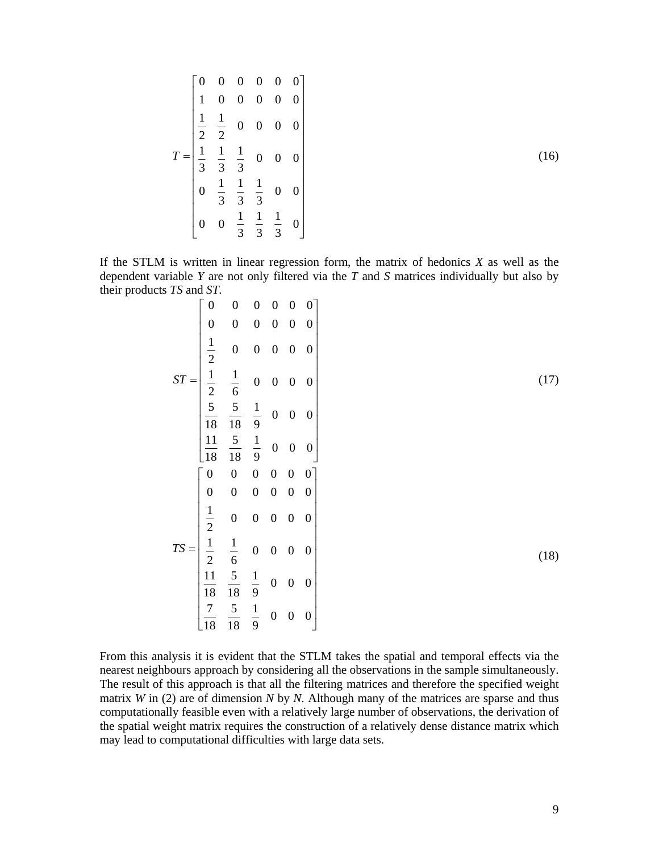|                                                                                                                                                                                       |                  | $\begin{bmatrix} 0 & 0 & 0 & 0 & 0 & 0 \\ 1 & 0 & 0 & 0 & 0 & 0 \\ \frac{1}{2} & \frac{1}{2} & 0 & 0 & 0 & 0 \\ \end{bmatrix}$ |  |  |
|---------------------------------------------------------------------------------------------------------------------------------------------------------------------------------------|------------------|--------------------------------------------------------------------------------------------------------------------------------|--|--|
|                                                                                                                                                                                       |                  |                                                                                                                                |  |  |
| $T = \begin{bmatrix} 2 & 2 \\ \frac{1}{3} & \frac{1}{3} & \frac{1}{3} \\ 0 & \frac{1}{3} & \frac{1}{3} & \frac{1}{3} \\ 0 & \frac{1}{3} & \frac{1}{3} & 0 \\ 0 & 0 & 0 \end{bmatrix}$ |                  |                                                                                                                                |  |  |
|                                                                                                                                                                                       | $\boldsymbol{0}$ | $\begin{bmatrix} 0 & \frac{1}{3} & \frac{1}{3} & \frac{1}{3} & 0 \end{bmatrix}$                                                |  |  |

If the STLM is written in linear regression form, the matrix of hedonics *X* as well as the dependent variable *Y* are not only filtered via the *T* and *S* matrices individually but also by their products *TS* and *ST.* 

|        | $\boldsymbol{0}$             | $\boldsymbol{0}$                                  | $\boldsymbol{0}$            | $\boldsymbol{0}$ | $\boldsymbol{0}$ | $\boldsymbol{0}$ |
|--------|------------------------------|---------------------------------------------------|-----------------------------|------------------|------------------|------------------|
|        | $\boldsymbol{0}$             | $\boldsymbol{0}$                                  | $\boldsymbol{0}$            | $\boldsymbol{0}$ | $\boldsymbol{0}$ | $\boldsymbol{0}$ |
|        | $\frac{1}{2}$                | $\boldsymbol{0}$                                  | $\boldsymbol{0}$            | $\boldsymbol{0}$ | $\boldsymbol{0}$ | $\boldsymbol{0}$ |
| $ST =$ | $\frac{1}{2}$ $\frac{5}{18}$ |                                                   | $\boldsymbol{0}$            | $\boldsymbol{0}$ | $\boldsymbol{0}$ | $\boldsymbol{0}$ |
|        |                              | $\frac{1}{6}$<br>$\frac{5}{18}$<br>$\frac{5}{18}$ | $\frac{1}{9}$ $\frac{1}{9}$ | $\boldsymbol{0}$ | $\boldsymbol{0}$ | $\boldsymbol{0}$ |
|        | $\frac{11}{18}$              |                                                   |                             | $\boldsymbol{0}$ | $\boldsymbol{0}$ | $\boldsymbol{0}$ |
|        | $\boldsymbol{0}$             | $\boldsymbol{0}$                                  | $\boldsymbol{0}$            | $\boldsymbol{0}$ | $\boldsymbol{0}$ | 0                |
|        | $\boldsymbol{0}$             | $\boldsymbol{0}$                                  | $\boldsymbol{0}$            | $\boldsymbol{0}$ | $\boldsymbol{0}$ | $\boldsymbol{0}$ |
|        |                              | $\boldsymbol{0}$                                  | $\boldsymbol{0}$            | $\boldsymbol{0}$ | $\boldsymbol{0}$ | $\boldsymbol{0}$ |
| $TS =$ | $\frac{1}{2}$ $\frac{1}{2}$  |                                                   | $\boldsymbol{0}$            | $\boldsymbol{0}$ | $\boldsymbol{0}$ | $\boldsymbol{0}$ |
|        | $\frac{11}{18}$              | $\frac{1}{6}$<br>$\frac{5}{18}$<br>$\frac{5}{18}$ | $rac{1}{9}$                 | $\boldsymbol{0}$ | $\boldsymbol{0}$ | $\boldsymbol{0}$ |
|        | $\frac{7}{18}$               |                                                   | $rac{1}{9}$                 | $\boldsymbol{0}$ | $\boldsymbol{0}$ | $\boldsymbol{0}$ |

From this analysis it is evident that the STLM takes the spatial and temporal effects via the nearest neighbours approach by considering all the observations in the sample simultaneously. The result of this approach is that all the filtering matrices and therefore the specified weight matrix *W* in (2) are of dimension *N* by *N*. Although many of the matrices are sparse and thus computationally feasible even with a relatively large number of observations, the derivation of the spatial weight matrix requires the construction of a relatively dense distance matrix which may lead to computational difficulties with large data sets.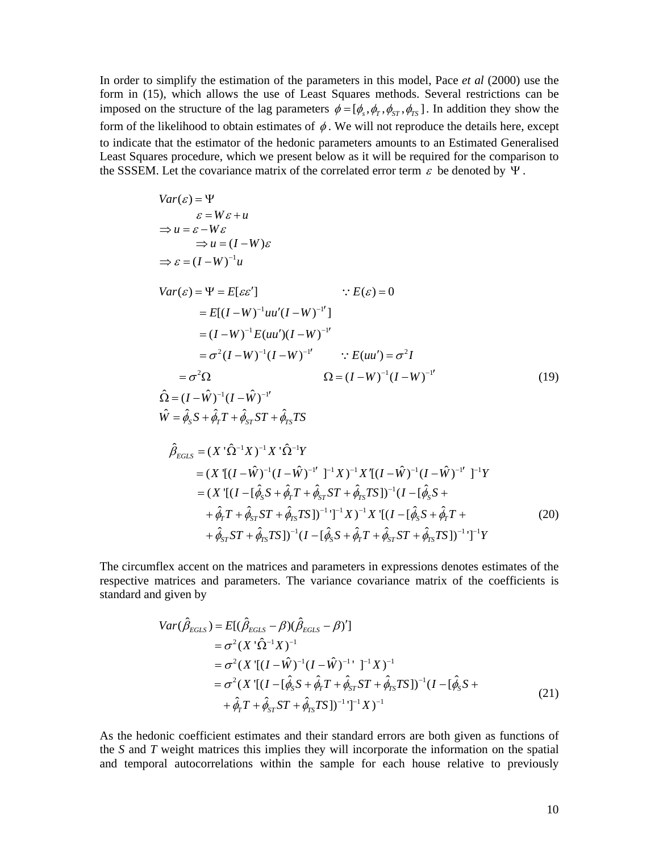In order to simplify the estimation of the parameters in this model, Pace *et al* (2000) use the form in (15), which allows the use of Least Squares methods. Several restrictions can be imposed on the structure of the lag parameters  $\phi = [\phi_s, \phi_T, \phi_{ST}, \phi_{TS}]$ . In addition they show the form of the likelihood to obtain estimates of  $\phi$ . We will not reproduce the details here, except to indicate that the estimator of the hedonic parameters amounts to an Estimated Generalised Least Squares procedure, which we present below as it will be required for the comparison to the SSSEM. Let the covariance matrix of the correlated error term  $\varepsilon$  be denoted by  $\Psi$ .

$$
Var(\varepsilon) = \Psi
$$
  
\n
$$
\varepsilon = W \varepsilon + u
$$
  
\n⇒ u = ε - W ε  
\n⇒ u = (I - W)ε  
\n⇒ ε = (I - W)<sup>-1</sup> u  
\n
$$
Var(\varepsilon) = \Psi = E[\varepsilon \varepsilon'] \qquad ∴ E(\varepsilon) = 0
$$
  
\n
$$
= E[(I - W)^{-1}uu'(I - W)^{-1'}]
$$
  
\n
$$
= (I - W)^{-1}E(uu')(I - W)^{-1'} \qquad ∴ E(uu') = σ2I
$$
  
\n
$$
= σ2Ω \qquad Ω = (I - W)^{-1}(I - W)^{-1'}
$$
  
\n
$$
\hat{\Omega} = (I - \hat{W})^{-1}(I - \hat{W})^{-1'}
$$
  
\n
$$
\hat{W} = \hat{\phi}_s S + \hat{\phi}_r T + \hat{\phi}_{ST} S T + \hat{\phi}_{TS} T S
$$
  
\n
$$
\hat{\beta}_{EGLS} = (X' \hat{\Omega}^{-1} X)^{-1} X' \hat{\Omega}^{-1} Y
$$
  
\n
$$
= (X'[ (I - \hat{W})^{-1} (I - \hat{W})^{-1'} ]^{-1} X' [(I - \hat{W})^{-1} (I - \hat{W})^{-1'} ]^{-1} Y
$$
  
\n
$$
= (X'[ (I - [\hat{\phi}_s S + \hat{\phi}_r T + \hat{\phi}_{ST} S T + \hat{\phi}_{TS} T S)]^{-1} (I - [\hat{\phi}_s S + \hat{\phi}_{ST} + \hat{\phi}_{ST} S T)]^{-1} (I - [\hat{\phi}_s S + \hat{\phi}_{ST} + \hat{\phi}_{ST} S T)]^{-1} (I - [\hat{\phi}_s S + \hat{\phi}_{ST} + \hat{\phi}_{ST} S T)]^{-1} (I - [\hat{\phi}_s S + \hat{\phi}_{ST} + \hat{\phi}_{ST} S T)]^{-1} (I - [\hat{\phi}_s S + \hat{\phi}_{ST} + \hat{\phi}_{ST} S T)]^{-1} (I - [\hat{\phi}_s S + \hat{\phi}_{ST} + \hat{\phi}_{ST} S T)]^{-1} (I - [\hat{\phi}_s S + \hat{\phi}_{ST} + \hat{\phi}_{ST} S T)]^{-1} (I - [\hat{\phi}_s S + \hat{\phi}_{ST} + \hat{\phi
$$

$$
+\hat{\phi}_{T}T+\hat{\phi}_{ST}ST+\hat{\phi}_{TS}TS])^{-1}\left[\right]^{-1}X\right]^{-1}X'\left[(I-[\hat{\phi}_{S}S+\hat{\phi}_{T}T+\\+\hat{\phi}_{ST}ST+\hat{\phi}_{TS}TS]\right)^{-1}(I-[\hat{\phi}_{S}S+\hat{\phi}_{T}T+\hat{\phi}_{ST}ST+\hat{\phi}_{TS}TS])^{-1}\right]^{-1}Y
$$
\n(20)

The circumflex accent on the matrices and parameters in expressions denotes estimates of the respective matrices and parameters. The variance covariance matrix of the coefficients is standard and given by

$$
Var(\hat{\beta}_{EGLS}) = E[(\hat{\beta}_{EGLS} - \beta)(\hat{\beta}_{EGLS} - \beta)']
$$
  
\n
$$
= \sigma^{2} (X' \hat{\Omega}^{-1} X)^{-1}
$$
  
\n
$$
= \sigma^{2} (X'[(I - \hat{W})^{-1}(I - \hat{W})^{-1}]^{-1} X)^{-1}
$$
  
\n
$$
= \sigma^{2} (X'[(I - [\hat{\beta}_{S}S + \hat{\phi}_{T}T + \hat{\phi}_{ST}ST + \hat{\phi}_{TS}TS])^{-1}(I - [\hat{\phi}_{S}S + \hat{\phi}_{T}T + \hat{\phi}_{T}T + \hat{\phi}_{ST}ST + \hat{\phi}_{TS}TS])^{-1}]^{-1} (I - [\hat{\phi}_{S}S + \hat{\phi}_{ST}T + \hat{\phi}_{ST}ST + \hat{\phi}_{TS}TS])^{-1}]^{-1}
$$
 (21)

As the hedonic coefficient estimates and their standard errors are both given as functions of the *S* and *T* weight matrices this implies they will incorporate the information on the spatial and temporal autocorrelations within the sample for each house relative to previously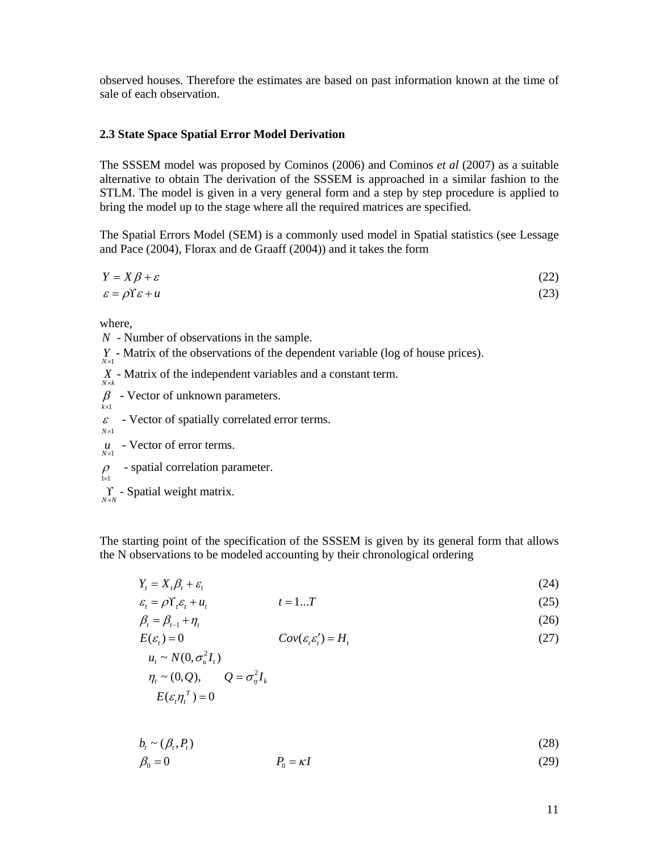observed houses. Therefore the estimates are based on past information known at the time of sale of each observation.

#### **2.3 State Space Spatial Error Model Derivation**

The SSSEM model was proposed by Cominos (2006) and Cominos *et al* (2007) as a suitable alternative to obtain The derivation of the SSSEM is approached in a similar fashion to the STLM. The model is given in a very general form and a step by step procedure is applied to bring the model up to the stage where all the required matrices are specified.

The Spatial Errors Model (SEM) is a commonly used model in Spatial statistics (see Lessage and Pace (2004), Florax and de Graaff (2004)) and it takes the form

$$
Y = X\beta + \varepsilon \tag{22}
$$
  

$$
\varepsilon = \rho Y \varepsilon + u \tag{23}
$$

where,

 $k \times 1$ 

 $N \times 1$ 

 $N \times 1$ 

 $1 \times 1$ 

*N* - Number of observations in the sample.

 $Y_{N\times 1}$  - Matrix of the observations of the dependent variable (log of house prices).

 $X$  - Matrix of the independent variables and a constant term.

 $\beta$  - Vector of unknown parameters.

 $\varepsilon$  - Vector of spatially correlated error terms.

*u* - Vector of error terms.

ρ - spatial correlation parameter.

 $N \times N$ ϒ - Spatial weight matrix.

The starting point of the specification of the SSSEM is given by its general form that allows the N observations to be modeled accounting by their chronological ordering

$$
Y_t = X_t \beta_t + \varepsilon_t \tag{24}
$$

$$
\varepsilon_t = \rho \Upsilon_t \varepsilon_t + u_t \qquad \qquad t = 1...T \tag{25}
$$

$$
\beta_t = \beta_{t-1} + \eta_t \tag{26}
$$

$$
E(\varepsilon_t) = 0 \qquad Cov(\varepsilon_t \varepsilon_t') = H_t \qquad (27)
$$

$$
\eta_t \sim (0, Q), \qquad Q = \sigma_\eta^2 I_k
$$
  

$$
E(\varepsilon_t \eta_t^T) = 0
$$

$$
b_t \sim (\beta_t, P_t) \tag{28}
$$

$$
\beta_0 = 0 \qquad P_0 = \kappa I \tag{29}
$$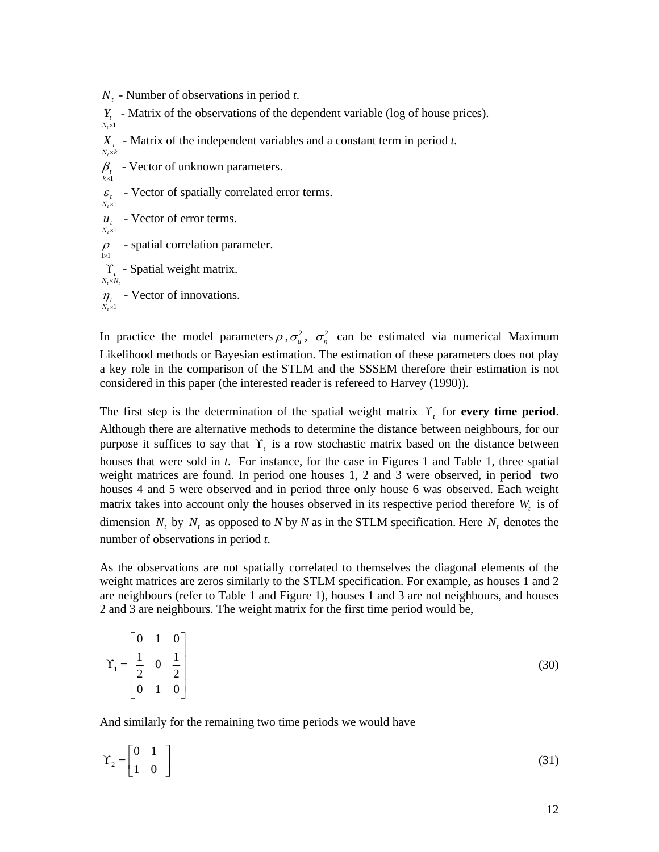*Nt* - Number of observations in period *t*.

 $N_t \times 1$ *t Y* - Matrix of the observations of the dependent variable (log of house prices).

*t X* - Matrix of the independent variables and a constant term in period *t.*

 $\beta_t$  - Vector of unknown parameters.

 $\varepsilon$ <sub>*t*</sub> - Vector of spatially correlated error terms.

 $u_t$  - Vector of error terms.

 $N_t \times k$ 

*k*×1

 $N, \times 1$ 

 $N_t \times 1$ 

ρ - spatial correlation parameter.

 $1 \times 1$ ×  $N_t \times N_t$ *t* ϒ - Spatial weight matrix.

 $N_t \times 1$  $\eta_t$  - Vector of innovations.

In practice the model parameters  $\rho$ ,  $\sigma_u^2$ ,  $\sigma_u^2$  can be estimated via numerical Maximum Likelihood methods or Bayesian estimation. The estimation of these parameters does not play a key role in the comparison of the STLM and the SSSEM therefore their estimation is not considered in this paper (the interested reader is refereed to Harvey (1990)).

The first step is the determination of the spatial weight matrix  $\Upsilon$  for **every time period**. Although there are alternative methods to determine the distance between neighbours, for our purpose it suffices to say that ϒ*t* is a row stochastic matrix based on the distance between houses that were sold in *t*. For instance, for the case in Figures 1 and Table 1, three spatial weight matrices are found. In period one houses 1, 2 and 3 were observed, in period two houses 4 and 5 were observed and in period three only house 6 was observed. Each weight matrix takes into account only the houses observed in its respective period therefore  $W_t$  is of dimension  $N_t$  by  $N_t$  as opposed to *N* by *N* as in the STLM specification. Here  $N_t$  denotes the number of observations in period *t*.

As the observations are not spatially correlated to themselves the diagonal elements of the weight matrices are zeros similarly to the STLM specification. For example, as houses 1 and 2 are neighbours (refer to Table 1 and Figure 1), houses 1 and 3 are not neighbours, and houses 2 and 3 are neighbours. The weight matrix for the first time period would be,

$$
\Upsilon_1 = \begin{bmatrix} 0 & 1 & 0 \\ \frac{1}{2} & 0 & \frac{1}{2} \\ 0 & 1 & 0 \end{bmatrix}
$$
 (30)

And similarly for the remaining two time periods we would have

$$
\Upsilon_2 = \begin{bmatrix} 0 & 1 \\ 1 & 0 \end{bmatrix} \tag{31}
$$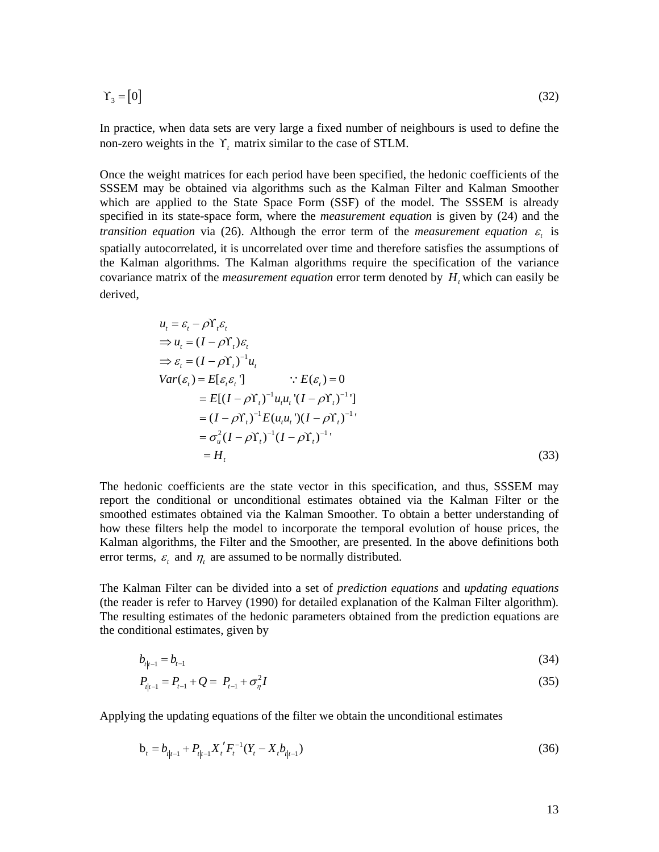$$
\Upsilon_3 = [0] \tag{32}
$$

In practice, when data sets are very large a fixed number of neighbours is used to define the non-zero weights in the ϒ*t* matrix similar to the case of STLM.

Once the weight matrices for each period have been specified, the hedonic coefficients of the SSSEM may be obtained via algorithms such as the Kalman Filter and Kalman Smoother which are applied to the State Space Form (SSF) of the model. The SSSEM is already specified in its state-space form, where the *measurement equation* is given by (24) and the *transition equation* via (26). Although the error term of the *measurement equation*  $\varepsilon$ , is spatially autocorrelated, it is uncorrelated over time and therefore satisfies the assumptions of the Kalman algorithms. The Kalman algorithms require the specification of the variance covariance matrix of the *measurement equation* error term denoted by  $H_t$ , which can easily be derived,

$$
u_{t} = \varepsilon_{t} - \rho \Upsilon_{t} \varepsilon_{t}
$$
  
\n
$$
\Rightarrow u_{t} = (I - \rho \Upsilon_{t}) \varepsilon_{t}
$$
  
\n
$$
\Rightarrow \varepsilon_{t} = (I - \rho \Upsilon_{t})^{-1} u_{t}
$$
  
\n
$$
Var(\varepsilon_{t}) = E[\varepsilon_{t} \varepsilon_{t}^{\top}] \qquad \therefore E(\varepsilon_{t}) = 0
$$
  
\n
$$
= E[(I - \rho \Upsilon_{t})^{-1} u_{t} u_{t}^{\top} (I - \rho \Upsilon_{t})^{-1}]
$$
  
\n
$$
= (I - \rho \Upsilon_{t})^{-1} E(u_{t} u_{t}^{\top}) (I - \rho \Upsilon_{t})^{-1}
$$
  
\n
$$
= \sigma_{u}^{2} (I - \rho \Upsilon_{t})^{-1} (I - \rho \Upsilon_{t})^{-1}
$$
  
\n
$$
= H_{t}
$$
\n(33)

The hedonic coefficients are the state vector in this specification, and thus, SSSEM may report the conditional or unconditional estimates obtained via the Kalman Filter or the smoothed estimates obtained via the Kalman Smoother. To obtain a better understanding of how these filters help the model to incorporate the temporal evolution of house prices, the Kalman algorithms, the Filter and the Smoother, are presented. In the above definitions both error terms,  $\varepsilon$ , and  $\eta$ , are assumed to be normally distributed.

The Kalman Filter can be divided into a set of *prediction equations* and *updating equations*  (the reader is refer to Harvey (1990) for detailed explanation of the Kalman Filter algorithm)*.*  The resulting estimates of the hedonic parameters obtained from the prediction equations are the conditional estimates, given by

$$
b_{t|t-1} = b_{t-1} \tag{34}
$$

$$
P_{t|t-1} = P_{t-1} + Q = P_{t-1} + \sigma_{\eta}^2 I
$$
\n(35)

Applying the updating equations of the filter we obtain the unconditional estimates

$$
b_{t} = b_{t|t-1} + P_{t|t-1} X_{t}' F_{t}^{-1} (Y_{t} - X_{t} b_{t|t-1})
$$
\n(36)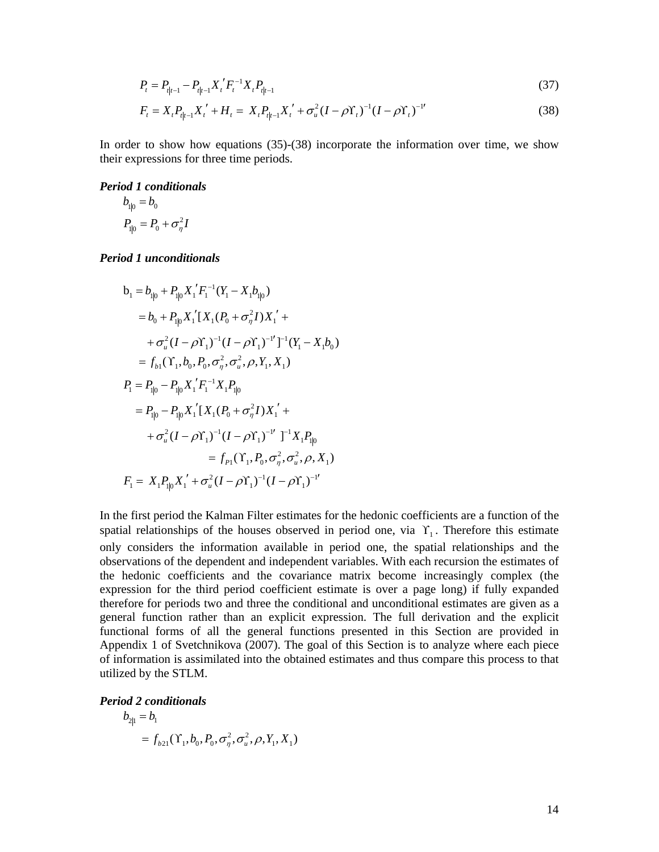$$
P_{t} = P_{t|t-1} - P_{t|t-1} X_{t}^{\'} F_{t}^{-1} X_{t} P_{t|t-1}
$$
\n(37)

$$
F_t = X_t P_{t|t-1} X_t' + H_t = X_t P_{t|t-1} X_t' + \sigma_u^2 (I - \rho Y_t)^{-1} (I - \rho Y_t)^{-1}
$$
\n(38)

In order to show how equations (35)-(38) incorporate the information over time, we show their expressions for three time periods.

#### *Period 1 conditionals*

$$
b_{1|0} = b_0
$$
  

$$
P_{1|0} = P_0 + \sigma_n^2 I
$$

*Period 1 unconditionals* 

$$
b_1 = b_{1|0} + P_{1|0} X_1' F_1^{-1} (Y_1 - X_1 b_{1|0})
$$
  
\n
$$
= b_0 + P_{1|0} X_1' [X_1 (P_0 + \sigma_\eta^2 I) X_1' +
$$
  
\n
$$
+ \sigma_u^2 (I - \rho Y_1)^{-1} (I - \rho Y_1)^{-1}']^{-1} (Y_1 - X_1 b_0)
$$
  
\n
$$
= f_{b1} (Y_1, b_0, P_0, \sigma_\eta^2, \sigma_u^2, \rho, Y_1, X_1)
$$
  
\n
$$
P_1 = P_{1|0} - P_{1|0} X_1' F_1^{-1} X_1 P_{1|0}
$$
  
\n
$$
= P_{1|0} - P_{1|0} X_1' [X_1 (P_0 + \sigma_\eta^2 I) X_1' +
$$
  
\n
$$
+ \sigma_u^2 (I - \rho Y_1)^{-1} (I - \rho Y_1)^{-1} J_1' X_1 P_{1|0}
$$
  
\n
$$
= f_{p1} (Y_1, P_0, \sigma_\eta^2, \sigma_u^2, \rho, X_1)
$$
  
\n
$$
F_1 = X_1 P_{1|0} X_1' + \sigma_u^2 (I - \rho Y_1)^{-1} (I - \rho Y_1)^{-1}
$$

In the first period the Kalman Filter estimates for the hedonic coefficients are a function of the spatial relationships of the houses observed in period one, via  $Y_1$ . Therefore this estimate only considers the information available in period one, the spatial relationships and the observations of the dependent and independent variables. With each recursion the estimates of the hedonic coefficients and the covariance matrix become increasingly complex (the expression for the third period coefficient estimate is over a page long) if fully expanded therefore for periods two and three the conditional and unconditional estimates are given as a general function rather than an explicit expression. The full derivation and the explicit functional forms of all the general functions presented in this Section are provided in Appendix 1 of Svetchnikova (2007). The goal of this Section is to analyze where each piece of information is assimilated into the obtained estimates and thus compare this process to that utilized by the STLM.

*Period 2 conditionals* 

$$
b_{2|1} = b_1
$$
  
=  $f_{b21}(\Upsilon_1, b_0, P_0, \sigma_\eta^2, \sigma_u^2, \rho, Y_1, X_1)$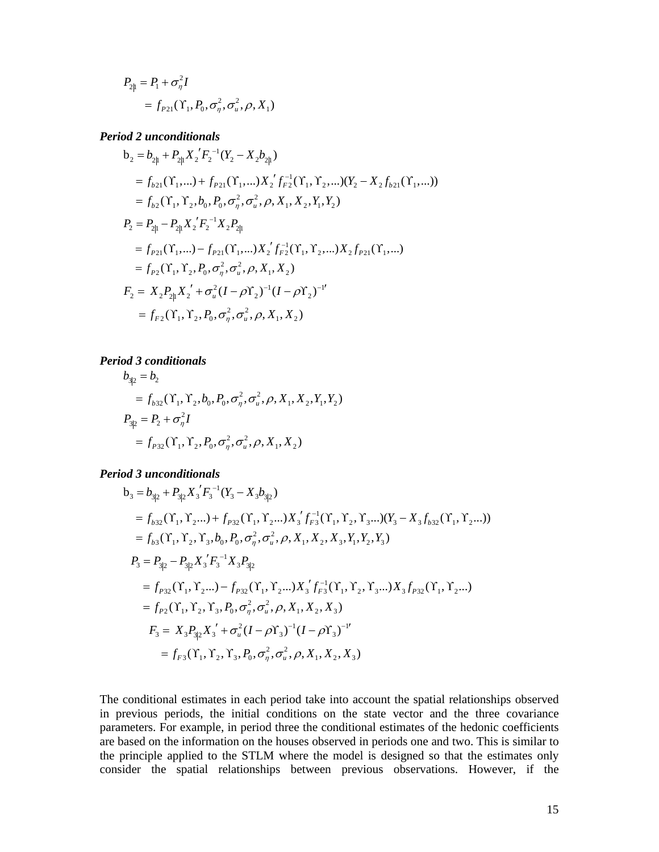$$
P_{2|1} = P_1 + \sigma_\eta^2 I
$$
  
=  $f_{P21}(\Upsilon_1, P_0, \sigma_\eta^2, \sigma_u^2, \rho, X_1)$ 

*Period 2 unconditionals* 

$$
b_2 = b_{2|1} + P_{2|1} X_2' F_2^{-1} (Y_2 - X_2 b_{2|1})
$$
  
\n
$$
= f_{b21}(\Upsilon_1, \dots) + f_{p21}(\Upsilon_1, \dots) X_2' f_{F2}^{-1}(\Upsilon_1, \Upsilon_2, \dots) (Y_2 - X_2 f_{b21}(\Upsilon_1, \dots))
$$
  
\n
$$
= f_{b2}(\Upsilon_1, \Upsilon_2, b_0, P_0, \sigma_\eta^2, \sigma_u^2, \rho, X_1, X_2, Y_1, Y_2)
$$
  
\n
$$
P_2 = P_{2|1} - P_{2|1} X_2' F_2^{-1} X_2 P_{2|1}
$$
  
\n
$$
= f_{p21}(\Upsilon_1, \dots) - f_{p21}(\Upsilon_1, \dots) X_2' f_{F2}^{-1}(\Upsilon_1, \Upsilon_2, \dots) X_2 f_{p21}(\Upsilon_1, \dots)
$$
  
\n
$$
= f_{p2}(\Upsilon_1, \Upsilon_2, P_0, \sigma_\eta^2, \sigma_u^2, \rho, X_1, X_2)
$$
  
\n
$$
F_2 = X_2 P_{2|1} X_2' + \sigma_u^2 (I - \rho \Upsilon_2)^{-1} (I - \rho \Upsilon_2)^{-1'}
$$
  
\n
$$
= f_{F2}(\Upsilon_1, \Upsilon_2, P_0, \sigma_\eta^2, \sigma_u^2, \rho, X_1, X_2)
$$

*Period 3 conditionals* 

$$
b_{3|2} = b_2
$$
  
=  $f_{b32}(\Upsilon_1, \Upsilon_2, b_0, P_0, \sigma_\eta^2, \sigma_u^2, \rho, X_1, X_2, Y_1, Y_2)$   

$$
P_{3|2} = P_2 + \sigma_\eta^2 I
$$
  
=  $f_{p32}(\Upsilon_1, \Upsilon_2, P_0, \sigma_\eta^2, \sigma_u^2, \rho, X_1, X_2)$ 

*Period 3 unconditionals* 

$$
b_{3} = b_{3|2} + P_{3|2} X_{3}^{'} F_{3}^{-1} (Y_{3} - X_{3} b_{3|2})
$$
  
\n
$$
= f_{b32} (Y_{1}, Y_{2}...) + f_{p32} (Y_{1}, Y_{2}...) X_{3}^{'} f_{F3}^{-1} (Y_{1}, Y_{2}, Y_{3}...) (Y_{3} - X_{3} f_{b32} (Y_{1}, Y_{2}...))
$$
  
\n
$$
= f_{b3} (Y_{1}, Y_{2}, Y_{3}, b_{0}, P_{0}, \sigma_{\eta}^{2}, \sigma_{u}^{2}, \rho, X_{1}, X_{2}, X_{3}, Y_{1}, Y_{2}, Y_{3})
$$
  
\n
$$
P_{3} = P_{3|2} - P_{3|2} X_{3}^{'} F_{3}^{-1} X_{3} P_{3|2}
$$
  
\n
$$
= f_{p32} (Y_{1}, Y_{2}...) - f_{p32} (Y_{1}, Y_{2}...) X_{3}^{'} f_{F3}^{-1} (Y_{1}, Y_{2}, Y_{3}...) X_{3} f_{p32} (Y_{1}, Y_{2}...)
$$
  
\n
$$
= f_{p2} (Y_{1}, Y_{2}, Y_{3}, P_{0}, \sigma_{\eta}^{2}, \sigma_{u}^{2}, \rho, X_{1}, X_{2}, X_{3})
$$
  
\n
$$
F_{3} = X_{3} P_{3|2} X_{3}^{'} + \sigma_{u}^{2} (I - \rho Y_{3})^{-1} (I - \rho Y_{3})^{-1}
$$
  
\n
$$
= f_{F3} (Y_{1}, Y_{2}, Y_{3}, P_{0}, \sigma_{\eta}^{2}, \sigma_{u}^{2}, \rho, X_{1}, X_{2}, X_{3})
$$

The conditional estimates in each period take into account the spatial relationships observed in previous periods, the initial conditions on the state vector and the three covariance parameters. For example, in period three the conditional estimates of the hedonic coefficients are based on the information on the houses observed in periods one and two. This is similar to the principle applied to the STLM where the model is designed so that the estimates only consider the spatial relationships between previous observations. However, if the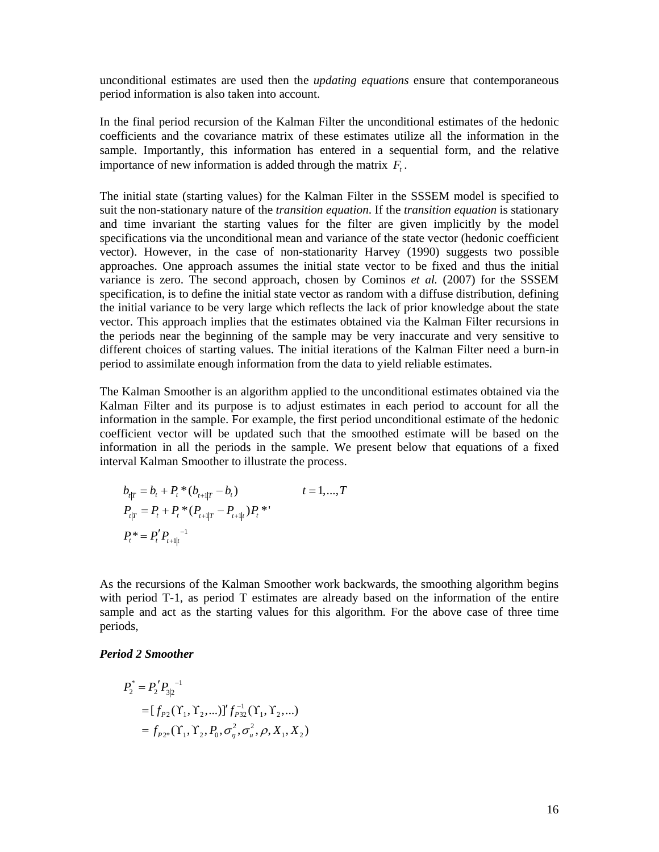unconditional estimates are used then the *updating equations* ensure that contemporaneous period information is also taken into account.

In the final period recursion of the Kalman Filter the unconditional estimates of the hedonic coefficients and the covariance matrix of these estimates utilize all the information in the sample. Importantly, this information has entered in a sequential form, and the relative importance of new information is added through the matrix  $F_t$ .

The initial state (starting values) for the Kalman Filter in the SSSEM model is specified to suit the non-stationary nature of the *transition equation*. If the *transition equation* is stationary and time invariant the starting values for the filter are given implicitly by the model specifications via the unconditional mean and variance of the state vector (hedonic coefficient vector). However, in the case of non-stationarity Harvey (1990) suggests two possible approaches. One approach assumes the initial state vector to be fixed and thus the initial variance is zero. The second approach, chosen by Cominos *et al.* (2007) for the SSSEM specification, is to define the initial state vector as random with a diffuse distribution, defining the initial variance to be very large which reflects the lack of prior knowledge about the state vector. This approach implies that the estimates obtained via the Kalman Filter recursions in the periods near the beginning of the sample may be very inaccurate and very sensitive to different choices of starting values. The initial iterations of the Kalman Filter need a burn-in period to assimilate enough information from the data to yield reliable estimates.

The Kalman Smoother is an algorithm applied to the unconditional estimates obtained via the Kalman Filter and its purpose is to adjust estimates in each period to account for all the information in the sample. For example, the first period unconditional estimate of the hedonic coefficient vector will be updated such that the smoothed estimate will be based on the information in all the periods in the sample. We present below that equations of a fixed interval Kalman Smoother to illustrate the process.

$$
b_{t|T} = b_t + P_t * (b_{t+1|T} - b_t) \qquad t = 1,...,T
$$
  
\n
$$
P_{t|T} = P_t + P_t * (P_{t+1|T} - P_{t+1|t}) P_t *'
$$
  
\n
$$
P_t^* = P_t' P_{t+1|t}^{-1}
$$

As the recursions of the Kalman Smoother work backwards, the smoothing algorithm begins with period T-1, as period T estimates are already based on the information of the entire sample and act as the starting values for this algorithm. For the above case of three time periods,

*Period 2 Smoother* 

$$
P_2^* = P_2' P_{3|2}^{-1}
$$
  
=  $[f_{P2}(\Upsilon_1, \Upsilon_2, \ldots)]' f_{P32}^{-1}(\Upsilon_1, \Upsilon_2, \ldots)$   
=  $f_{P2*}(\Upsilon_1, \Upsilon_2, P_0, \sigma_\eta^2, \sigma_u^2, \rho, X_1, X_2)$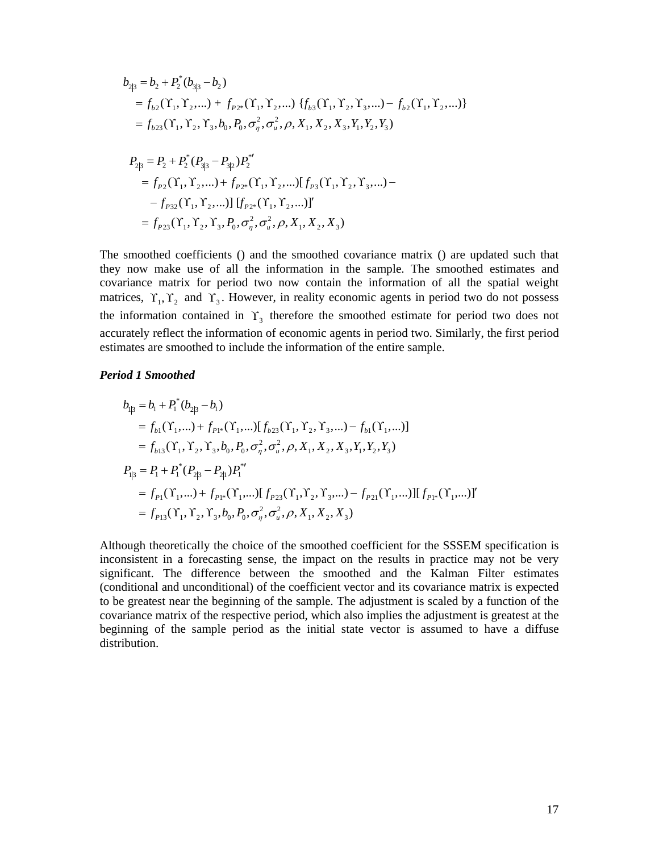$$
b_{2|3} = b_2 + P_2^*(b_{3|3} - b_2)
$$
  
\n
$$
= f_{b2}(\Upsilon_1, \Upsilon_2, \dots) + f_{p_{2*}}(\Upsilon_1, \Upsilon_2, \dots) \{f_{b3}(\Upsilon_1, \Upsilon_2, \Upsilon_3, \dots) - f_{b2}(\Upsilon_1, \Upsilon_2, \dots)\}
$$
  
\n
$$
= f_{b23}(\Upsilon_1, \Upsilon_2, \Upsilon_3, b_0, P_0, \sigma_\eta^2, \sigma_u^2, \rho, X_1, X_2, X_3, Y_1, Y_2, Y_3)
$$
  
\n
$$
P_{2|3} = P_2 + P_2^*(P_{3|3} - P_{3|2})P_2^{*\prime}
$$
  
\n
$$
= f_{p_2}(\Upsilon_1, \Upsilon_2, \dots) + f_{p_{2*}}(\Upsilon_1, \Upsilon_2, \dots) [f_{p_3}(\Upsilon_1, \Upsilon_2, \Upsilon_3, \dots) -
$$
  
\n
$$
- f_{p_{32}}(\Upsilon_1, \Upsilon_2, \dots) ] [f_{p_{2*}}(\Upsilon_1, \Upsilon_2, \dots)]'
$$
  
\n
$$
= f_{p_{23}}(\Upsilon_1, \Upsilon_2, \Upsilon_3, P_0, \sigma_\eta^2, \sigma_u^2, \rho, X_1, X_2, X_3)
$$

The smoothed coefficients () and the smoothed covariance matrix () are updated such that they now make use of all the information in the sample. The smoothed estimates and covariance matrix for period two now contain the information of all the spatial weight matrices,  $Y_1, Y_2$  and  $Y_3$ . However, in reality economic agents in period two do not possess the information contained in  $\Upsilon_3$  therefore the smoothed estimate for period two does not accurately reflect the information of economic agents in period two. Similarly, the first period estimates are smoothed to include the information of the entire sample.

#### *Period 1 Smoothed*

$$
b_{1|3} = b_1 + P_1^*(b_{2|3} - b_1)
$$
  
\n
$$
= f_{b1}(\Upsilon_1, \dots) + f_{p_{1}*}(\Upsilon_1, \dots) [f_{b23}(\Upsilon_1, \Upsilon_2, \Upsilon_3, \dots) - f_{b1}(\Upsilon_1, \dots)]
$$
  
\n
$$
= f_{b13}(\Upsilon_1, \Upsilon_2, \Upsilon_3, b_0, P_0, \sigma_\eta^2, \sigma_\mu^2, \rho, X_1, X_2, X_3, Y_1, Y_2, Y_3)
$$
  
\n
$$
P_{1|3} = P_1 + P_1^*(P_{2|3} - P_{2|1})P_1^{*}
$$
  
\n
$$
= f_{p_1}(\Upsilon_1, \dots) + f_{p_{1*}}(\Upsilon_1, \dots) [f_{p_{23}}(\Upsilon_1, \Upsilon_2, \Upsilon_3, \dots) - f_{p_{21}}(\Upsilon_1, \dots)][f_{p_{1*}}(\Upsilon_1, \dots)]'
$$
  
\n
$$
= f_{p_{13}}(\Upsilon_1, \Upsilon_2, \Upsilon_3, b_0, P_0, \sigma_\eta^2, \sigma_\mu^2, \rho, X_1, X_2, X_3)
$$

Although theoretically the choice of the smoothed coefficient for the SSSEM specification is inconsistent in a forecasting sense, the impact on the results in practice may not be very significant. The difference between the smoothed and the Kalman Filter estimates (conditional and unconditional) of the coefficient vector and its covariance matrix is expected to be greatest near the beginning of the sample. The adjustment is scaled by a function of the covariance matrix of the respective period, which also implies the adjustment is greatest at the beginning of the sample period as the initial state vector is assumed to have a diffuse distribution.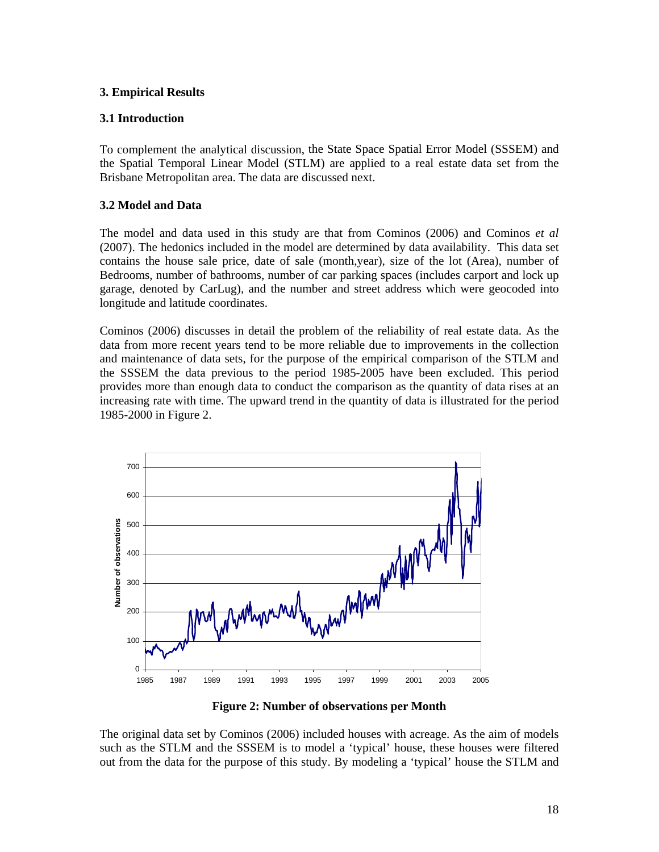# **3. Empirical Results**

### **3.1 Introduction**

To complement the analytical discussion, the State Space Spatial Error Model (SSSEM) and the Spatial Temporal Linear Model (STLM) are applied to a real estate data set from the Brisbane Metropolitan area. The data are discussed next.

### **3.2 Model and Data**

The model and data used in this study are that from Cominos (2006) and Cominos *et al* (2007). The hedonics included in the model are determined by data availability. This data set contains the house sale price, date of sale (month,year), size of the lot (Area), number of Bedrooms, number of bathrooms, number of car parking spaces (includes carport and lock up garage, denoted by CarLug), and the number and street address which were geocoded into longitude and latitude coordinates.

Cominos (2006) discusses in detail the problem of the reliability of real estate data. As the data from more recent years tend to be more reliable due to improvements in the collection and maintenance of data sets, for the purpose of the empirical comparison of the STLM and the SSSEM the data previous to the period 1985-2005 have been excluded. This period provides more than enough data to conduct the comparison as the quantity of data rises at an increasing rate with time. The upward trend in the quantity of data is illustrated for the period 1985-2000 in Figure 2.



**Figure 2: Number of observations per Month** 

The original data set by Cominos (2006) included houses with acreage. As the aim of models such as the STLM and the SSSEM is to model a 'typical' house, these houses were filtered out from the data for the purpose of this study. By modeling a 'typical' house the STLM and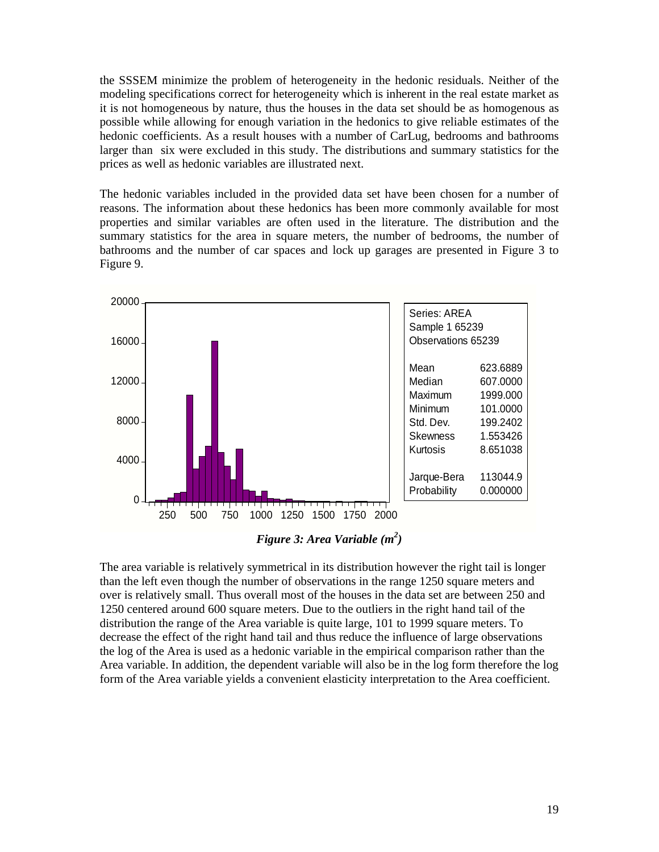the SSSEM minimize the problem of heterogeneity in the hedonic residuals. Neither of the modeling specifications correct for heterogeneity which is inherent in the real estate market as it is not homogeneous by nature, thus the houses in the data set should be as homogenous as possible while allowing for enough variation in the hedonics to give reliable estimates of the hedonic coefficients. As a result houses with a number of CarLug, bedrooms and bathrooms larger than six were excluded in this study. The distributions and summary statistics for the prices as well as hedonic variables are illustrated next.

The hedonic variables included in the provided data set have been chosen for a number of reasons. The information about these hedonics has been more commonly available for most properties and similar variables are often used in the literature. The distribution and the summary statistics for the area in square meters, the number of bedrooms, the number of bathrooms and the number of car spaces and lock up garages are presented in Figure 3 to Figure 9.



*Figure 3: Area Variable (m2 )* 

The area variable is relatively symmetrical in its distribution however the right tail is longer than the left even though the number of observations in the range 1250 square meters and over is relatively small. Thus overall most of the houses in the data set are between 250 and 1250 centered around 600 square meters. Due to the outliers in the right hand tail of the distribution the range of the Area variable is quite large, 101 to 1999 square meters. To decrease the effect of the right hand tail and thus reduce the influence of large observations the log of the Area is used as a hedonic variable in the empirical comparison rather than the Area variable. In addition, the dependent variable will also be in the log form therefore the log form of the Area variable yields a convenient elasticity interpretation to the Area coefficient.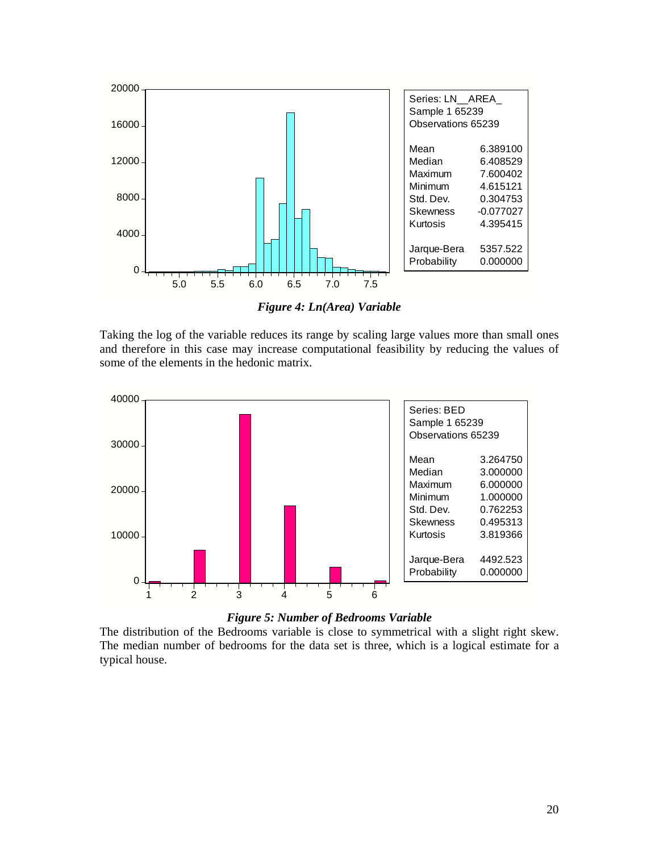

*Figure 4: Ln(Area) Variable* 

Taking the log of the variable reduces its range by scaling large values more than small ones and therefore in this case may increase computational feasibility by reducing the values of some of the elements in the hedonic matrix.





The distribution of the Bedrooms variable is close to symmetrical with a slight right skew. The median number of bedrooms for the data set is three, which is a logical estimate for a typical house.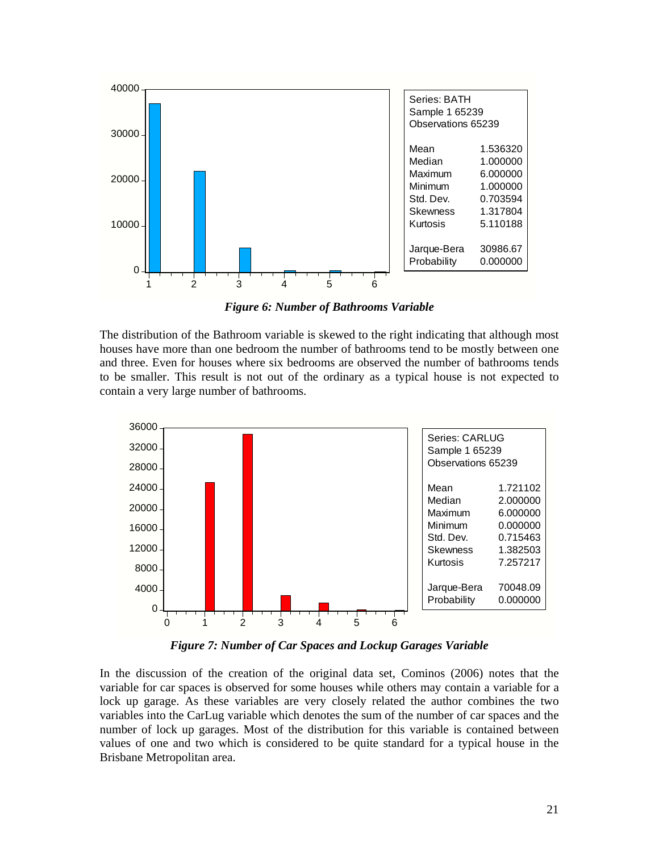



The distribution of the Bathroom variable is skewed to the right indicating that although most houses have more than one bedroom the number of bathrooms tend to be mostly between one and three. Even for houses where six bedrooms are observed the number of bathrooms tends to be smaller. This result is not out of the ordinary as a typical house is not expected to contain a very large number of bathrooms.



*Figure 7: Number of Car Spaces and Lockup Garages Variable* 

In the discussion of the creation of the original data set, Cominos (2006) notes that the variable for car spaces is observed for some houses while others may contain a variable for a lock up garage. As these variables are very closely related the author combines the two variables into the CarLug variable which denotes the sum of the number of car spaces and the number of lock up garages. Most of the distribution for this variable is contained between values of one and two which is considered to be quite standard for a typical house in the Brisbane Metropolitan area.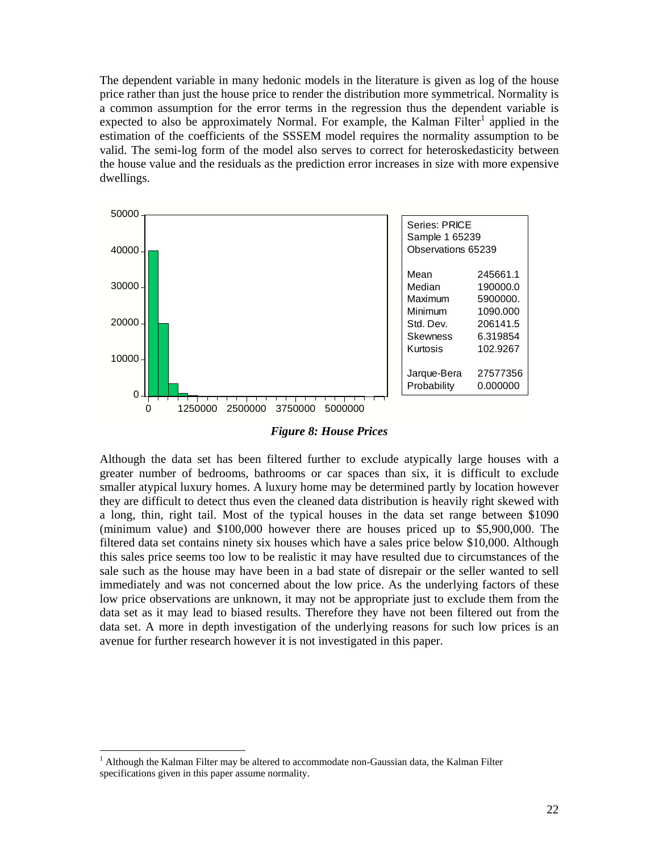The dependent variable in many hedonic models in the literature is given as log of the house price rather than just the house price to render the distribution more symmetrical. Normality is a common assumption for the error terms in the regression thus the dependent variable is expected to also be approximately Normal. For example, the Kalman Filter<sup>1</sup> applied in the estimation of the coefficients of the SSSEM model requires the normality assumption to be valid. The semi-log form of the model also serves to correct for heteroskedasticity between the house value and the residuals as the prediction error increases in size with more expensive dwellings.



*Figure 8: House Prices* 

Although the data set has been filtered further to exclude atypically large houses with a greater number of bedrooms, bathrooms or car spaces than six, it is difficult to exclude smaller atypical luxury homes. A luxury home may be determined partly by location however they are difficult to detect thus even the cleaned data distribution is heavily right skewed with a long, thin, right tail. Most of the typical houses in the data set range between \$1090 (minimum value) and \$100,000 however there are houses priced up to \$5,900,000. The filtered data set contains ninety six houses which have a sales price below \$10,000. Although this sales price seems too low to be realistic it may have resulted due to circumstances of the sale such as the house may have been in a bad state of disrepair or the seller wanted to sell immediately and was not concerned about the low price. As the underlying factors of these low price observations are unknown, it may not be appropriate just to exclude them from the data set as it may lead to biased results. Therefore they have not been filtered out from the data set. A more in depth investigation of the underlying reasons for such low prices is an avenue for further research however it is not investigated in this paper.

 $\overline{a}$ 

<sup>&</sup>lt;sup>1</sup> Although the Kalman Filter may be altered to accommodate non-Gaussian data, the Kalman Filter specifications given in this paper assume normality.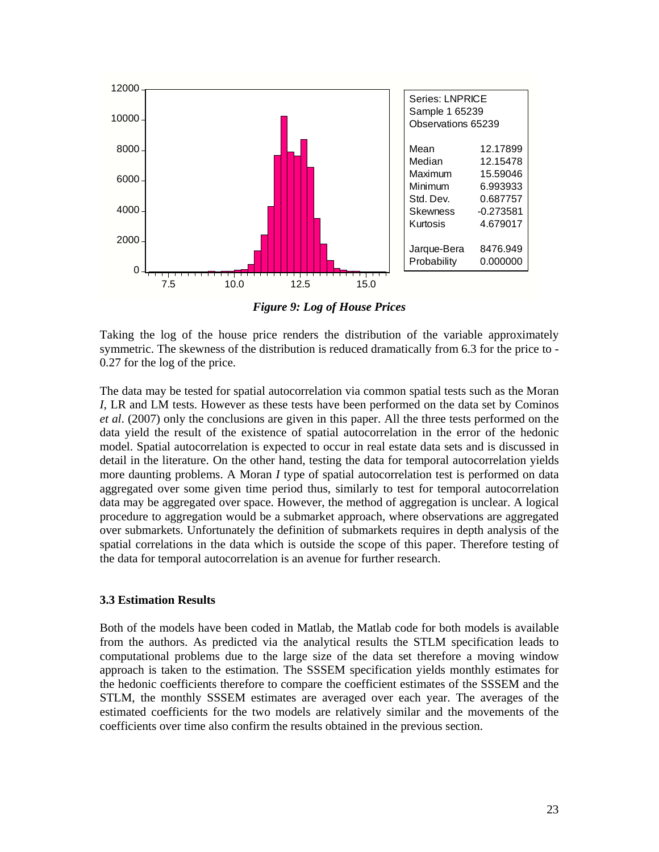

*Figure 9: Log of House Prices* 

Taking the log of the house price renders the distribution of the variable approximately symmetric. The skewness of the distribution is reduced dramatically from 6.3 for the price to - 0.27 for the log of the price.

The data may be tested for spatial autocorrelation via common spatial tests such as the Moran *I*, LR and LM tests. However as these tests have been performed on the data set by Cominos *et al*. (2007) only the conclusions are given in this paper. All the three tests performed on the data yield the result of the existence of spatial autocorrelation in the error of the hedonic model. Spatial autocorrelation is expected to occur in real estate data sets and is discussed in detail in the literature. On the other hand, testing the data for temporal autocorrelation yields more daunting problems. A Moran *I* type of spatial autocorrelation test is performed on data aggregated over some given time period thus, similarly to test for temporal autocorrelation data may be aggregated over space. However, the method of aggregation is unclear. A logical procedure to aggregation would be a submarket approach, where observations are aggregated over submarkets. Unfortunately the definition of submarkets requires in depth analysis of the spatial correlations in the data which is outside the scope of this paper. Therefore testing of the data for temporal autocorrelation is an avenue for further research.

# **3.3 Estimation Results**

Both of the models have been coded in Matlab, the Matlab code for both models is available from the authors. As predicted via the analytical results the STLM specification leads to computational problems due to the large size of the data set therefore a moving window approach is taken to the estimation. The SSSEM specification yields monthly estimates for the hedonic coefficients therefore to compare the coefficient estimates of the SSSEM and the STLM, the monthly SSSEM estimates are averaged over each year. The averages of the estimated coefficients for the two models are relatively similar and the movements of the coefficients over time also confirm the results obtained in the previous section.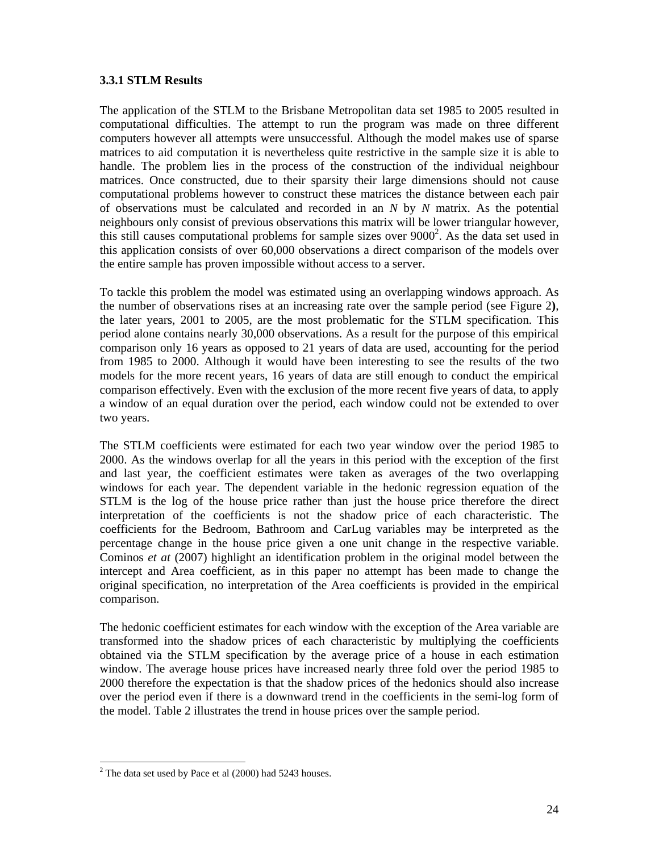### **3.3.1 STLM Results**

The application of the STLM to the Brisbane Metropolitan data set 1985 to 2005 resulted in computational difficulties. The attempt to run the program was made on three different computers however all attempts were unsuccessful. Although the model makes use of sparse matrices to aid computation it is nevertheless quite restrictive in the sample size it is able to handle. The problem lies in the process of the construction of the individual neighbour matrices. Once constructed, due to their sparsity their large dimensions should not cause computational problems however to construct these matrices the distance between each pair of observations must be calculated and recorded in an *N* by *N* matrix. As the potential neighbours only consist of previous observations this matrix will be lower triangular however, this still causes computational problems for sample sizes over  $9000<sup>2</sup>$ . As the data set used in this application consists of over 60,000 observations a direct comparison of the models over the entire sample has proven impossible without access to a server.

To tackle this problem the model was estimated using an overlapping windows approach. As the number of observations rises at an increasing rate over the sample period (see Figure 2**)**, the later years, 2001 to 2005, are the most problematic for the STLM specification. This period alone contains nearly 30,000 observations. As a result for the purpose of this empirical comparison only 16 years as opposed to 21 years of data are used, accounting for the period from 1985 to 2000. Although it would have been interesting to see the results of the two models for the more recent years, 16 years of data are still enough to conduct the empirical comparison effectively. Even with the exclusion of the more recent five years of data, to apply a window of an equal duration over the period, each window could not be extended to over two years.

The STLM coefficients were estimated for each two year window over the period 1985 to 2000. As the windows overlap for all the years in this period with the exception of the first and last year, the coefficient estimates were taken as averages of the two overlapping windows for each year. The dependent variable in the hedonic regression equation of the STLM is the log of the house price rather than just the house price therefore the direct interpretation of the coefficients is not the shadow price of each characteristic. The coefficients for the Bedroom, Bathroom and CarLug variables may be interpreted as the percentage change in the house price given a one unit change in the respective variable. Cominos *et at* (2007) highlight an identification problem in the original model between the intercept and Area coefficient, as in this paper no attempt has been made to change the original specification, no interpretation of the Area coefficients is provided in the empirical comparison.

The hedonic coefficient estimates for each window with the exception of the Area variable are transformed into the shadow prices of each characteristic by multiplying the coefficients obtained via the STLM specification by the average price of a house in each estimation window. The average house prices have increased nearly three fold over the period 1985 to 2000 therefore the expectation is that the shadow prices of the hedonics should also increase over the period even if there is a downward trend in the coefficients in the semi-log form of the model. Table 2 illustrates the trend in house prices over the sample period.

 $\overline{a}$  $2^2$  The data set used by Pace et al (2000) had 5243 houses.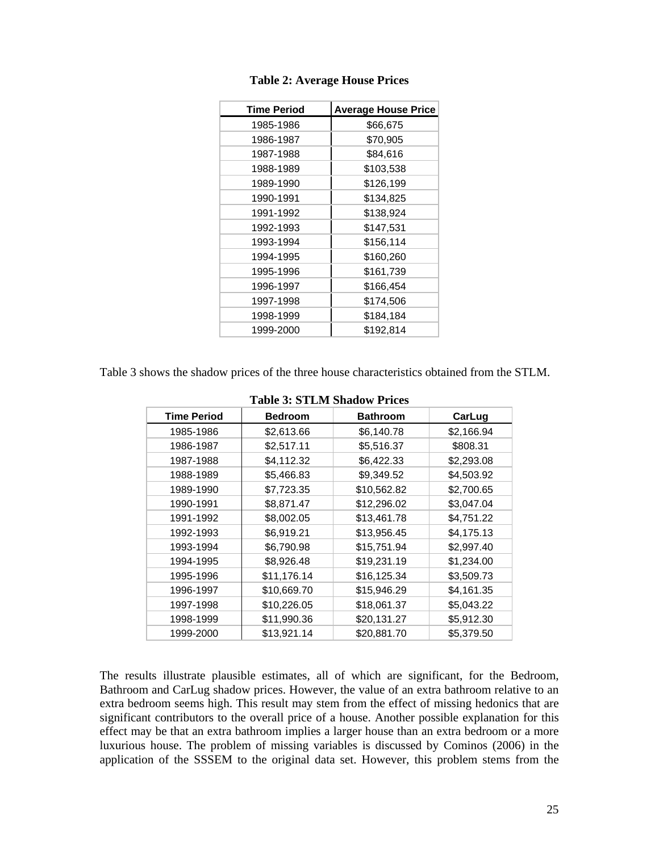| <b>Time Period</b> | <b>Average House Price</b> |
|--------------------|----------------------------|
| 1985-1986          | \$66,675                   |
| 1986-1987          | \$70,905                   |
| 1987-1988          | \$84,616                   |
| 1988-1989          | \$103,538                  |
| 1989-1990          | \$126,199                  |
| 1990-1991          | \$134,825                  |
| 1991-1992          | \$138,924                  |
| 1992-1993          | \$147,531                  |
| 1993-1994          | \$156,114                  |
| 1994-1995          | \$160,260                  |
| 1995-1996          | \$161,739                  |
| 1996-1997          | \$166,454                  |
| 1997-1998          | \$174,506                  |
| 1998-1999          | \$184,184                  |
| 1999-2000          | \$192,814                  |

**Table 2: Average House Prices** 

Table 3 shows the shadow prices of the three house characteristics obtained from the STLM.

|                    |                | 310.01.01111.01111.0111.000 |            |
|--------------------|----------------|-----------------------------|------------|
| <b>Time Period</b> | <b>Bedroom</b> | <b>Bathroom</b>             | CarLug     |
| 1985-1986          | \$2,613.66     | \$6,140.78                  | \$2,166.94 |
| 1986-1987          | \$2,517.11     | \$5,516.37                  | \$808.31   |
| 1987-1988          | \$4,112.32     | \$6,422.33                  | \$2,293.08 |
| 1988-1989          | \$5,466.83     | \$9,349.52                  | \$4,503.92 |
| 1989-1990          | \$7,723.35     | \$10,562.82                 | \$2,700.65 |
| 1990-1991          | \$8,871.47     | \$12,296.02                 | \$3,047.04 |
| 1991-1992          | \$8,002.05     | \$13,461.78                 | \$4,751.22 |
| 1992-1993          | \$6,919.21     | \$13,956.45                 | \$4,175.13 |
| 1993-1994          | \$6,790.98     | \$15,751.94                 | \$2,997.40 |
| 1994-1995          | \$8,926.48     | \$19,231.19                 | \$1,234.00 |
| 1995-1996          | \$11,176.14    | \$16,125.34                 | \$3,509.73 |
| 1996-1997          | \$10,669.70    | \$15,946.29                 | \$4,161.35 |
| 1997-1998          | \$10,226.05    | \$18,061.37                 | \$5,043.22 |
| 1998-1999          | \$11,990.36    | \$20,131.27                 | \$5,912.30 |
| 1999-2000          | \$13,921.14    | \$20,881.70                 | \$5,379.50 |

**Table 3: STLM Shadow Prices** 

The results illustrate plausible estimates, all of which are significant, for the Bedroom, Bathroom and CarLug shadow prices. However, the value of an extra bathroom relative to an extra bedroom seems high. This result may stem from the effect of missing hedonics that are significant contributors to the overall price of a house. Another possible explanation for this effect may be that an extra bathroom implies a larger house than an extra bedroom or a more luxurious house. The problem of missing variables is discussed by Cominos (2006) in the application of the SSSEM to the original data set. However, this problem stems from the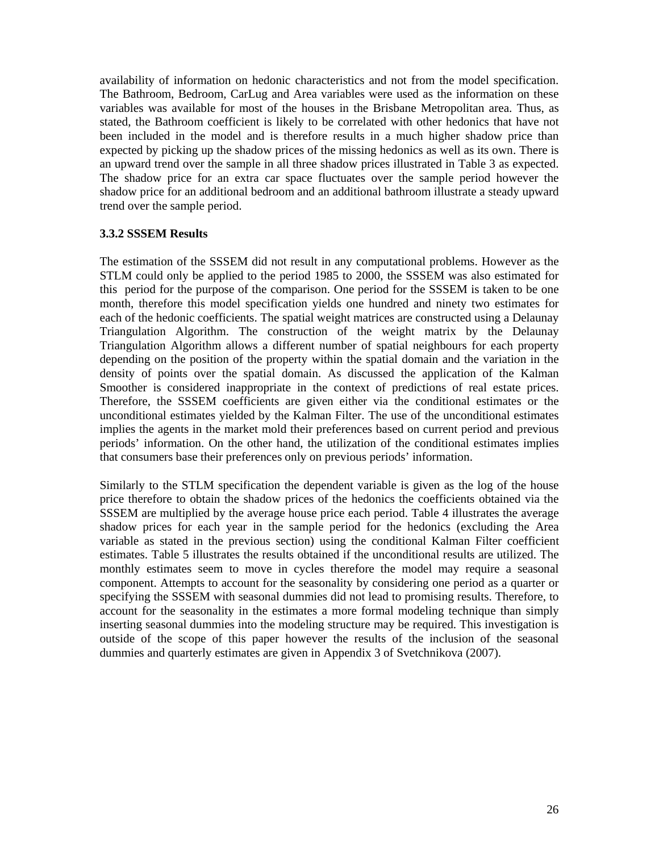availability of information on hedonic characteristics and not from the model specification. The Bathroom, Bedroom, CarLug and Area variables were used as the information on these variables was available for most of the houses in the Brisbane Metropolitan area. Thus, as stated, the Bathroom coefficient is likely to be correlated with other hedonics that have not been included in the model and is therefore results in a much higher shadow price than expected by picking up the shadow prices of the missing hedonics as well as its own. There is an upward trend over the sample in all three shadow prices illustrated in Table 3 as expected. The shadow price for an extra car space fluctuates over the sample period however the shadow price for an additional bedroom and an additional bathroom illustrate a steady upward trend over the sample period.

### **3.3.2 SSSEM Results**

The estimation of the SSSEM did not result in any computational problems. However as the STLM could only be applied to the period 1985 to 2000, the SSSEM was also estimated for this period for the purpose of the comparison. One period for the SSSEM is taken to be one month, therefore this model specification yields one hundred and ninety two estimates for each of the hedonic coefficients. The spatial weight matrices are constructed using a Delaunay Triangulation Algorithm. The construction of the weight matrix by the Delaunay Triangulation Algorithm allows a different number of spatial neighbours for each property depending on the position of the property within the spatial domain and the variation in the density of points over the spatial domain. As discussed the application of the Kalman Smoother is considered inappropriate in the context of predictions of real estate prices. Therefore, the SSSEM coefficients are given either via the conditional estimates or the unconditional estimates yielded by the Kalman Filter. The use of the unconditional estimates implies the agents in the market mold their preferences based on current period and previous periods' information. On the other hand, the utilization of the conditional estimates implies that consumers base their preferences only on previous periods' information.

Similarly to the STLM specification the dependent variable is given as the log of the house price therefore to obtain the shadow prices of the hedonics the coefficients obtained via the SSSEM are multiplied by the average house price each period. Table 4 illustrates the average shadow prices for each year in the sample period for the hedonics (excluding the Area variable as stated in the previous section) using the conditional Kalman Filter coefficient estimates. Table 5 illustrates the results obtained if the unconditional results are utilized. The monthly estimates seem to move in cycles therefore the model may require a seasonal component. Attempts to account for the seasonality by considering one period as a quarter or specifying the SSSEM with seasonal dummies did not lead to promising results. Therefore, to account for the seasonality in the estimates a more formal modeling technique than simply inserting seasonal dummies into the modeling structure may be required. This investigation is outside of the scope of this paper however the results of the inclusion of the seasonal dummies and quarterly estimates are given in Appendix 3 of Svetchnikova (2007).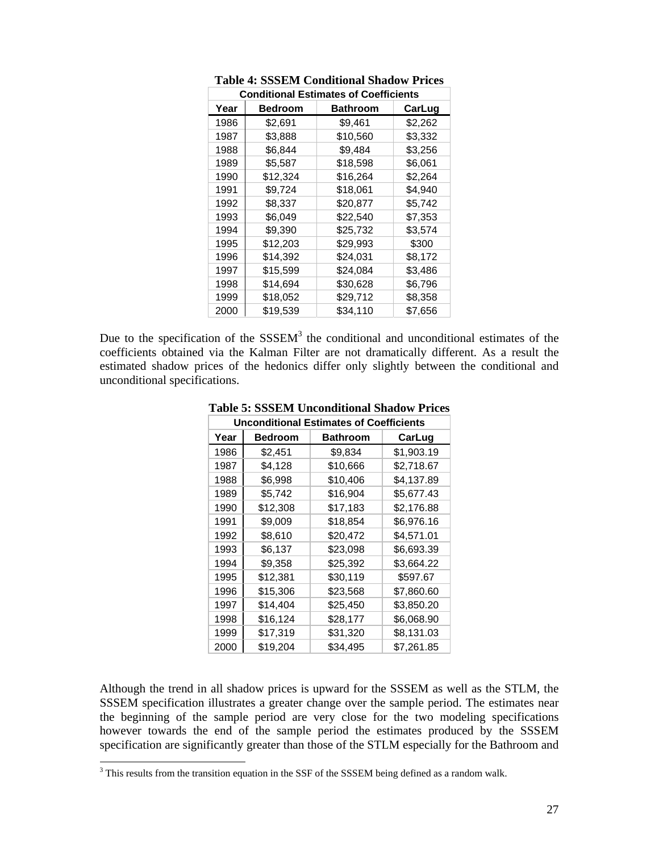| <b>Conditional Estimates of Coefficients</b> |                |                 |         |  |  |
|----------------------------------------------|----------------|-----------------|---------|--|--|
| Year                                         | <b>Bedroom</b> | <b>Bathroom</b> | CarLug  |  |  |
| 1986                                         | \$2,691        | \$9,461         | \$2,262 |  |  |
| 1987                                         | \$3.888        | \$10,560        | \$3,332 |  |  |
| 1988                                         | \$6,844        | \$9,484         | \$3,256 |  |  |
| 1989                                         | \$5,587        | \$18,598        | \$6,061 |  |  |
| 1990                                         | \$12,324       | \$16,264        | \$2,264 |  |  |
| 1991                                         | \$9,724        | \$18,061        | \$4,940 |  |  |
| 1992                                         | \$8,337        | \$20,877        | \$5,742 |  |  |
| 1993                                         | \$6,049        | \$22,540        | \$7.353 |  |  |
| 1994                                         | \$9,390        | \$25,732        | \$3.574 |  |  |
| 1995                                         | \$12,203       | \$29,993        | \$300   |  |  |
| 1996                                         | \$14,392       | \$24,031        | \$8,172 |  |  |
| 1997                                         | \$15,599       | \$24,084        | \$3,486 |  |  |
| 1998                                         | \$14,694       | \$30,628        | \$6,796 |  |  |
| 1999                                         | \$18,052       | \$29,712        | \$8,358 |  |  |
| 2000                                         | \$19,539       | \$34,110        | \$7.656 |  |  |

**Table 4: SSSEM Conditional Shadow Prices** 

Due to the specification of the  $SSSEM<sup>3</sup>$  the conditional and unconditional estimates of the coefficients obtained via the Kalman Filter are not dramatically different. As a result the estimated shadow prices of the hedonics differ only slightly between the conditional and unconditional specifications.

| <b>Unconditional Estimates of Coefficients</b> |          |          |            |  |  |
|------------------------------------------------|----------|----------|------------|--|--|
| Year                                           | Bedroom  | Bathroom | CarLug     |  |  |
| 1986                                           | \$2,451  | \$9,834  | \$1,903.19 |  |  |
| 1987                                           | \$4,128  | \$10,666 | \$2,718.67 |  |  |
| 1988                                           | \$6,998  | \$10,406 | \$4,137.89 |  |  |
| 1989                                           | \$5,742  | \$16,904 | \$5,677.43 |  |  |
| 1990                                           | \$12,308 | \$17,183 | \$2,176.88 |  |  |
| 1991                                           | \$9,009  | \$18,854 | \$6,976.16 |  |  |
| 1992                                           | \$8,610  | \$20,472 | \$4,571.01 |  |  |
| 1993                                           | \$6,137  | \$23,098 | \$6,693.39 |  |  |
| 1994                                           | \$9,358  | \$25,392 | \$3,664.22 |  |  |
| 1995                                           | \$12,381 | \$30,119 | \$597.67   |  |  |
| 1996                                           | \$15,306 | \$23,568 | \$7,860.60 |  |  |
| 1997                                           | \$14,404 | \$25,450 | \$3,850.20 |  |  |
| 1998                                           | \$16,124 | \$28,177 | \$6,068.90 |  |  |
| 1999                                           | \$17,319 | \$31,320 | \$8,131.03 |  |  |
| 2000                                           | \$19,204 | \$34,495 | \$7,261.85 |  |  |

**Table 5: SSSEM Unconditional Shadow Prices** 

Although the trend in all shadow prices is upward for the SSSEM as well as the STLM, the SSSEM specification illustrates a greater change over the sample period. The estimates near the beginning of the sample period are very close for the two modeling specifications however towards the end of the sample period the estimates produced by the SSSEM specification are significantly greater than those of the STLM especially for the Bathroom and

<sup>&</sup>lt;sup>3</sup> This results from the transition equation in the SSF of the SSSEM being defined as a random walk.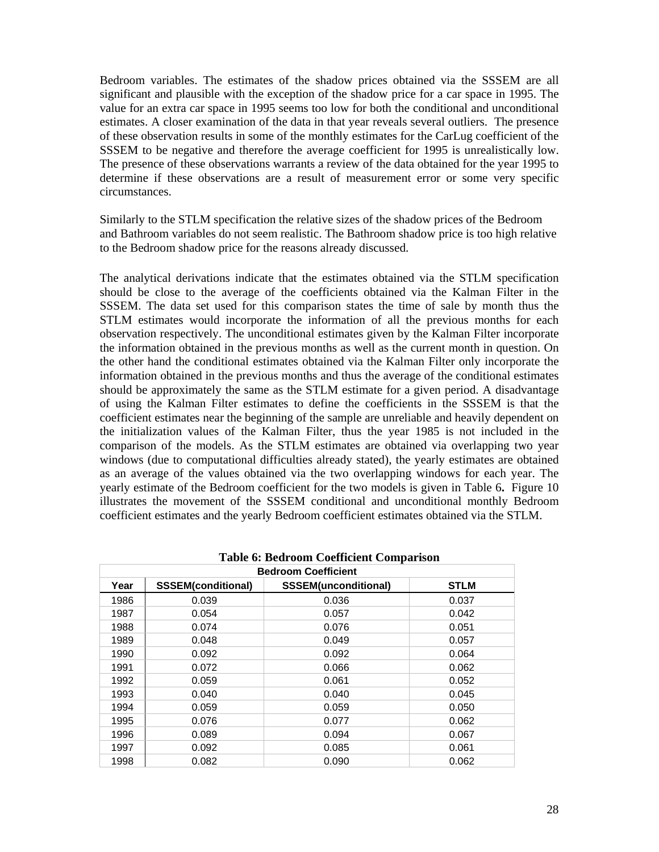Bedroom variables. The estimates of the shadow prices obtained via the SSSEM are all significant and plausible with the exception of the shadow price for a car space in 1995. The value for an extra car space in 1995 seems too low for both the conditional and unconditional estimates. A closer examination of the data in that year reveals several outliers.The presence of these observation results in some of the monthly estimates for the CarLug coefficient of the SSSEM to be negative and therefore the average coefficient for 1995 is unrealistically low. The presence of these observations warrants a review of the data obtained for the year 1995 to determine if these observations are a result of measurement error or some very specific circumstances.

Similarly to the STLM specification the relative sizes of the shadow prices of the Bedroom and Bathroom variables do not seem realistic. The Bathroom shadow price is too high relative to the Bedroom shadow price for the reasons already discussed.

The analytical derivations indicate that the estimates obtained via the STLM specification should be close to the average of the coefficients obtained via the Kalman Filter in the SSSEM. The data set used for this comparison states the time of sale by month thus the STLM estimates would incorporate the information of all the previous months for each observation respectively. The unconditional estimates given by the Kalman Filter incorporate the information obtained in the previous months as well as the current month in question. On the other hand the conditional estimates obtained via the Kalman Filter only incorporate the information obtained in the previous months and thus the average of the conditional estimates should be approximately the same as the STLM estimate for a given period. A disadvantage of using the Kalman Filter estimates to define the coefficients in the SSSEM is that the coefficient estimates near the beginning of the sample are unreliable and heavily dependent on the initialization values of the Kalman Filter, thus the year 1985 is not included in the comparison of the models. As the STLM estimates are obtained via overlapping two year windows (due to computational difficulties already stated), the yearly estimates are obtained as an average of the values obtained via the two overlapping windows for each year. The yearly estimate of the Bedroom coefficient for the two models is given in Table 6**.** Figure 10 illustrates the movement of the SSSEM conditional and unconditional monthly Bedroom coefficient estimates and the yearly Bedroom coefficient estimates obtained via the STLM.

| <b>Bedroom Coefficient</b> |                           |                             |             |  |  |
|----------------------------|---------------------------|-----------------------------|-------------|--|--|
| Year                       | <b>SSSEM(conditional)</b> | <b>SSSEM(unconditional)</b> | <b>STLM</b> |  |  |
| 1986                       | 0.039                     | 0.036                       | 0.037       |  |  |
| 1987                       | 0.054                     | 0.057                       | 0.042       |  |  |
| 1988                       | 0.074                     | 0.076                       | 0.051       |  |  |
| 1989                       | 0.048                     | 0.049                       | 0.057       |  |  |
| 1990                       | 0.092                     | 0.092                       | 0.064       |  |  |
| 1991                       | 0.072                     | 0.066                       | 0.062       |  |  |
| 1992                       | 0.059                     | 0.061                       | 0.052       |  |  |
| 1993                       | 0.040                     | 0.040                       | 0.045       |  |  |
| 1994                       | 0.059                     | 0.059                       | 0.050       |  |  |
| 1995                       | 0.076                     | 0.077                       | 0.062       |  |  |
| 1996                       | 0.089                     | 0.094                       | 0.067       |  |  |
| 1997                       | 0.092                     | 0.085                       | 0.061       |  |  |
| 1998                       | 0.082                     | 0.090                       | 0.062       |  |  |

**Table 6: Bedroom Coefficient Comparison**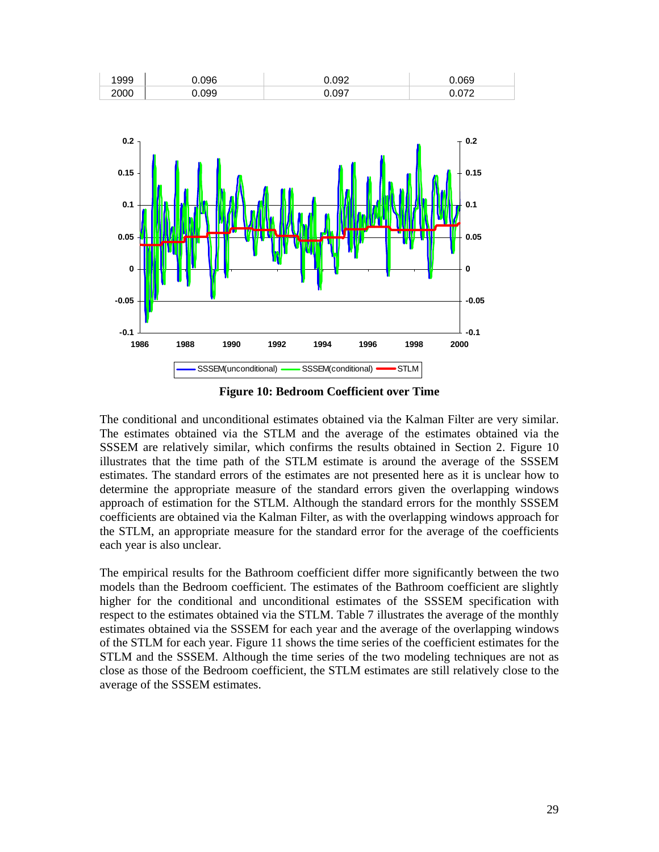

**Figure 10: Bedroom Coefficient over Time** 

The conditional and unconditional estimates obtained via the Kalman Filter are very similar. The estimates obtained via the STLM and the average of the estimates obtained via the SSSEM are relatively similar, which confirms the results obtained in Section 2. Figure 10 illustrates that the time path of the STLM estimate is around the average of the SSSEM estimates. The standard errors of the estimates are not presented here as it is unclear how to determine the appropriate measure of the standard errors given the overlapping windows approach of estimation for the STLM. Although the standard errors for the monthly SSSEM coefficients are obtained via the Kalman Filter, as with the overlapping windows approach for the STLM, an appropriate measure for the standard error for the average of the coefficients each year is also unclear.

The empirical results for the Bathroom coefficient differ more significantly between the two models than the Bedroom coefficient. The estimates of the Bathroom coefficient are slightly higher for the conditional and unconditional estimates of the SSSEM specification with respect to the estimates obtained via the STLM. Table 7 illustrates the average of the monthly estimates obtained via the SSSEM for each year and the average of the overlapping windows of the STLM for each year. Figure 11 shows the time series of the coefficient estimates for the STLM and the SSSEM. Although the time series of the two modeling techniques are not as close as those of the Bedroom coefficient, the STLM estimates are still relatively close to the average of the SSSEM estimates.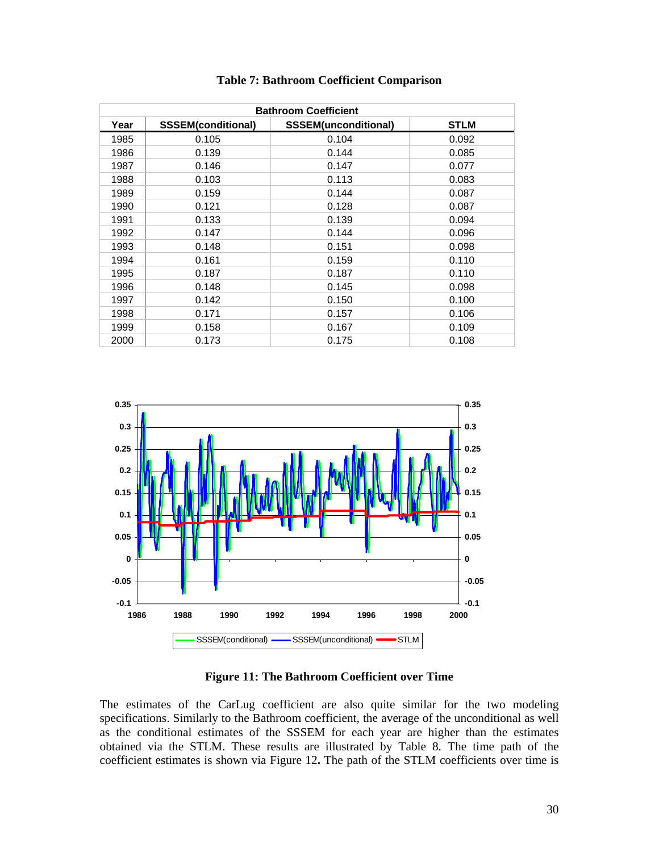| <b>Bathroom Coefficient</b> |                           |                             |             |  |  |
|-----------------------------|---------------------------|-----------------------------|-------------|--|--|
| Year                        | <b>SSSEM(conditional)</b> | <b>SSSEM(unconditional)</b> | <b>STLM</b> |  |  |
| 1985                        | 0.105                     | 0.104                       | 0.092       |  |  |
| 1986                        | 0.139                     | 0.144                       | 0.085       |  |  |
| 1987                        | 0.146                     | 0.147                       | 0.077       |  |  |
| 1988                        | 0.103                     | 0.113                       | 0.083       |  |  |
| 1989                        | 0.159                     | 0.144                       | 0.087       |  |  |
| 1990                        | 0.121                     | 0.128                       | 0.087       |  |  |
| 1991                        | 0.133                     | 0.139                       | 0.094       |  |  |
| 1992                        | 0.147                     | 0.144                       | 0.096       |  |  |
| 1993                        | 0.148                     | 0.151                       | 0.098       |  |  |
| 1994                        | 0.161                     | 0.159                       | 0.110       |  |  |
| 1995                        | 0.187                     | 0.187                       | 0.110       |  |  |
| 1996                        | 0.148                     | 0.145                       | 0.098       |  |  |
| 1997                        | 0.142                     | 0.150                       | 0.100       |  |  |
| 1998                        | 0.171                     | 0.157                       | 0.106       |  |  |
| 1999                        | 0.158                     | 0.167                       | 0.109       |  |  |
| 2000                        | 0.173                     | 0.175                       | 0.108       |  |  |

#### **Table 7: Bathroom Coefficient Comparison**



**Figure 11: The Bathroom Coefficient over Time** 

The estimates of the CarLug coefficient are also quite similar for the two modeling specifications. Similarly to the Bathroom coefficient, the average of the unconditional as well as the conditional estimates of the SSSEM for each year are higher than the estimates obtained via the STLM. These results are illustrated by Table 8. The time path of the coefficient estimates is shown via Figure 12**.** The path of the STLM coefficients over time is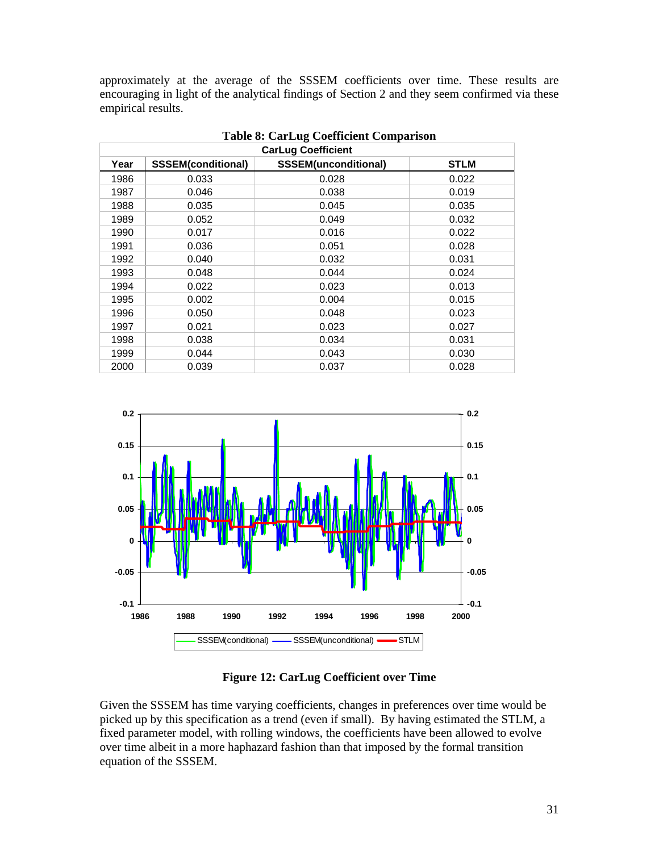approximately at the average of the SSSEM coefficients over time. These results are encouraging in light of the analytical findings of Section 2 and they seem confirmed via these empirical results.

| <b>CarLug Coefficient</b> |                           |                             |             |  |  |
|---------------------------|---------------------------|-----------------------------|-------------|--|--|
| Year                      | <b>SSSEM(conditional)</b> | <b>SSSEM(unconditional)</b> | <b>STLM</b> |  |  |
| 1986                      | 0.033                     | 0.028                       | 0.022       |  |  |
| 1987                      | 0.046                     | 0.038                       | 0.019       |  |  |
| 1988                      | 0.035                     | 0.045                       | 0.035       |  |  |
| 1989                      | 0.052                     | 0.049                       | 0.032       |  |  |
| 1990                      | 0.017                     | 0.016                       | 0.022       |  |  |
| 1991                      | 0.036                     | 0.051                       | 0.028       |  |  |
| 1992                      | 0.040                     | 0.032                       | 0.031       |  |  |
| 1993                      | 0.048                     | 0.044                       | 0.024       |  |  |
| 1994                      | 0.022                     | 0.023                       | 0.013       |  |  |
| 1995                      | 0.002                     | 0.004                       | 0.015       |  |  |
| 1996                      | 0.050                     | 0.048                       | 0.023       |  |  |
| 1997                      | 0.021                     | 0.023                       | 0.027       |  |  |
| 1998                      | 0.038                     | 0.034                       | 0.031       |  |  |
| 1999                      | 0.044                     | 0.043                       | 0.030       |  |  |
| 2000                      | 0.039                     | 0.037                       | 0.028       |  |  |

|  |  |  | <b>Table 8: CarLug Coefficient Comparison</b> |
|--|--|--|-----------------------------------------------|
|--|--|--|-----------------------------------------------|



**Figure 12: CarLug Coefficient over Time** 

Given the SSSEM has time varying coefficients, changes in preferences over time would be picked up by this specification as a trend (even if small). By having estimated the STLM, a fixed parameter model, with rolling windows, the coefficients have been allowed to evolve over time albeit in a more haphazard fashion than that imposed by the formal transition equation of the SSSEM.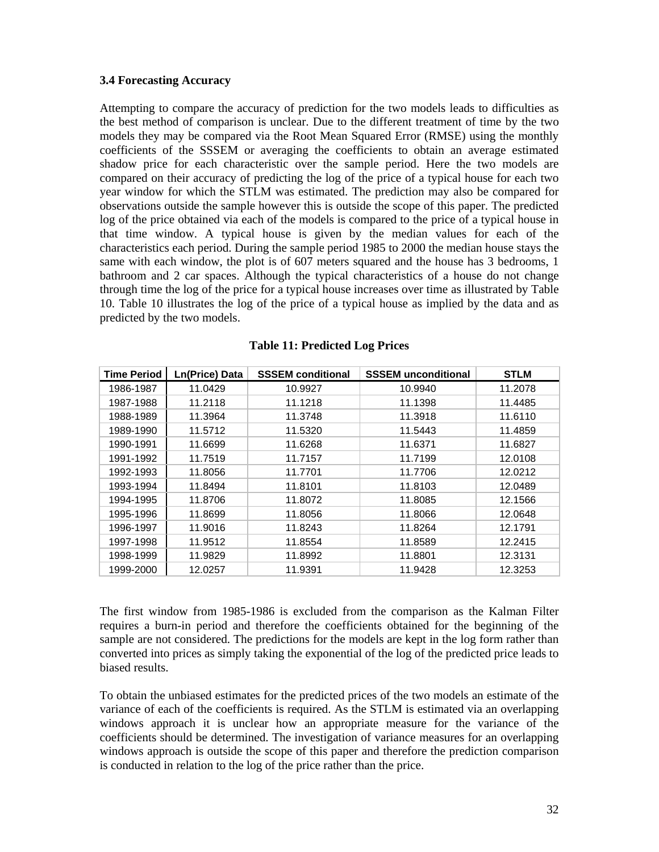### **3.4 Forecasting Accuracy**

Attempting to compare the accuracy of prediction for the two models leads to difficulties as the best method of comparison is unclear. Due to the different treatment of time by the two models they may be compared via the Root Mean Squared Error (RMSE) using the monthly coefficients of the SSSEM or averaging the coefficients to obtain an average estimated shadow price for each characteristic over the sample period. Here the two models are compared on their accuracy of predicting the log of the price of a typical house for each two year window for which the STLM was estimated. The prediction may also be compared for observations outside the sample however this is outside the scope of this paper. The predicted log of the price obtained via each of the models is compared to the price of a typical house in that time window. A typical house is given by the median values for each of the characteristics each period. During the sample period 1985 to 2000 the median house stays the same with each window, the plot is of 607 meters squared and the house has 3 bedrooms, 1 bathroom and 2 car spaces. Although the typical characteristics of a house do not change through time the log of the price for a typical house increases over time as illustrated by Table 10. Table 10 illustrates the log of the price of a typical house as implied by the data and as predicted by the two models.

| <b>Time Period</b> | Ln(Price) Data | <b>SSSEM conditional</b> | <b>SSSEM</b> unconditional | <b>STLM</b> |
|--------------------|----------------|--------------------------|----------------------------|-------------|
| 1986-1987          | 11.0429        | 10.9927                  | 10.9940                    | 11.2078     |
| 1987-1988          | 11.2118        | 11.1218                  | 11.1398                    | 11.4485     |
| 1988-1989          | 11.3964        | 11.3748                  | 11.3918                    | 11.6110     |
| 1989-1990          | 11.5712        | 11.5320                  | 11.5443                    | 11.4859     |
| 1990-1991          | 11.6699        | 11.6268                  | 11.6371                    | 11.6827     |
| 1991-1992          | 11.7519        | 11.7157                  | 11.7199                    | 12.0108     |
| 1992-1993          | 11.8056        | 11.7701                  | 11.7706                    | 12.0212     |
| 1993-1994          | 11.8494        | 11.8101                  | 11.8103                    | 12.0489     |
| 1994-1995          | 11.8706        | 11.8072                  | 11.8085                    | 12.1566     |
| 1995-1996          | 11.8699        | 11.8056                  | 11.8066                    | 12.0648     |
| 1996-1997          | 11.9016        | 11.8243                  | 11.8264                    | 12.1791     |
| 1997-1998          | 11.9512        | 11.8554                  | 11.8589                    | 12.2415     |
| 1998-1999          | 11.9829        | 11.8992                  | 11.8801                    | 12.3131     |
| 1999-2000          | 12.0257        | 11.9391                  | 11.9428                    | 12.3253     |

### **Table 11: Predicted Log Prices**

The first window from 1985-1986 is excluded from the comparison as the Kalman Filter requires a burn-in period and therefore the coefficients obtained for the beginning of the sample are not considered. The predictions for the models are kept in the log form rather than converted into prices as simply taking the exponential of the log of the predicted price leads to biased results.

To obtain the unbiased estimates for the predicted prices of the two models an estimate of the variance of each of the coefficients is required. As the STLM is estimated via an overlapping windows approach it is unclear how an appropriate measure for the variance of the coefficients should be determined. The investigation of variance measures for an overlapping windows approach is outside the scope of this paper and therefore the prediction comparison is conducted in relation to the log of the price rather than the price.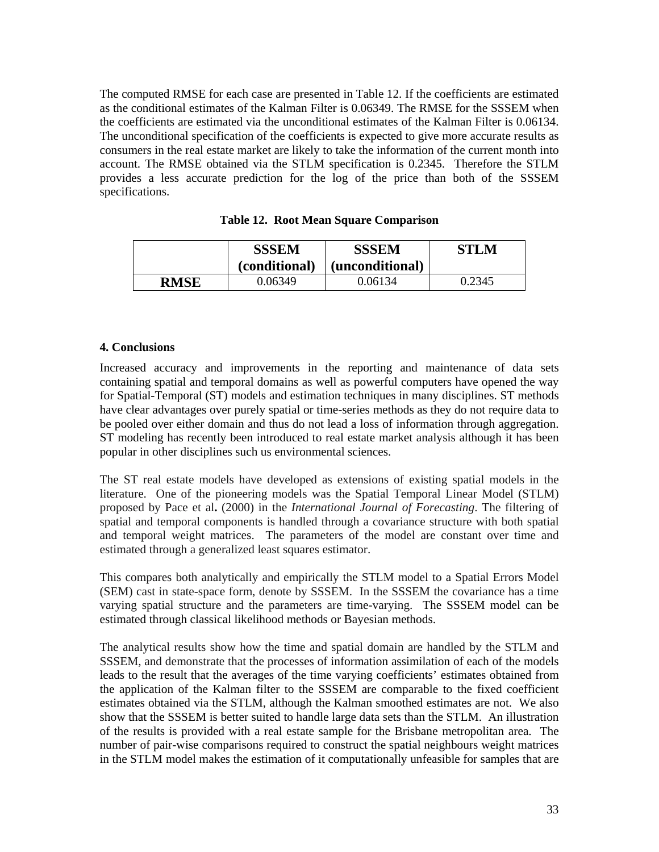The computed RMSE for each case are presented in Table 12. If the coefficients are estimated as the conditional estimates of the Kalman Filter is 0.06349. The RMSE for the SSSEM when the coefficients are estimated via the unconditional estimates of the Kalman Filter is 0.06134. The unconditional specification of the coefficients is expected to give more accurate results as consumers in the real estate market are likely to take the information of the current month into account. The RMSE obtained via the STLM specification is 0.2345. Therefore the STLM provides a less accurate prediction for the log of the price than both of the SSSEM specifications.

|             | <b>SSSEM</b><br>(conditional) | <b>SSSEM</b><br>(unconditional) | <b>STLM</b> |
|-------------|-------------------------------|---------------------------------|-------------|
| <b>RMSE</b> | 0.06349                       | 0.06134                         | ).2345      |

**Table 12. Root Mean Square Comparison** 

### **4. Conclusions**

Increased accuracy and improvements in the reporting and maintenance of data sets containing spatial and temporal domains as well as powerful computers have opened the way for Spatial-Temporal (ST) models and estimation techniques in many disciplines. ST methods have clear advantages over purely spatial or time-series methods as they do not require data to be pooled over either domain and thus do not lead a loss of information through aggregation. ST modeling has recently been introduced to real estate market analysis although it has been popular in other disciplines such us environmental sciences.

The ST real estate models have developed as extensions of existing spatial models in the literature. One of the pioneering models was the Spatial Temporal Linear Model (STLM) proposed by Pace et al**.** (2000) in the *International Journal of Forecasting*. The filtering of spatial and temporal components is handled through a covariance structure with both spatial and temporal weight matrices. The parameters of the model are constant over time and estimated through a generalized least squares estimator.

This compares both analytically and empirically the STLM model to a Spatial Errors Model (SEM) cast in state-space form, denote by SSSEM. In the SSSEM the covariance has a time varying spatial structure and the parameters are time-varying. The SSSEM model can be estimated through classical likelihood methods or Bayesian methods.

The analytical results show how the time and spatial domain are handled by the STLM and SSSEM, and demonstrate that the processes of information assimilation of each of the models leads to the result that the averages of the time varying coefficients' estimates obtained from the application of the Kalman filter to the SSSEM are comparable to the fixed coefficient estimates obtained via the STLM, although the Kalman smoothed estimates are not. We also show that the SSSEM is better suited to handle large data sets than the STLM. An illustration of the results is provided with a real estate sample for the Brisbane metropolitan area. The number of pair-wise comparisons required to construct the spatial neighbours weight matrices in the STLM model makes the estimation of it computationally unfeasible for samples that are